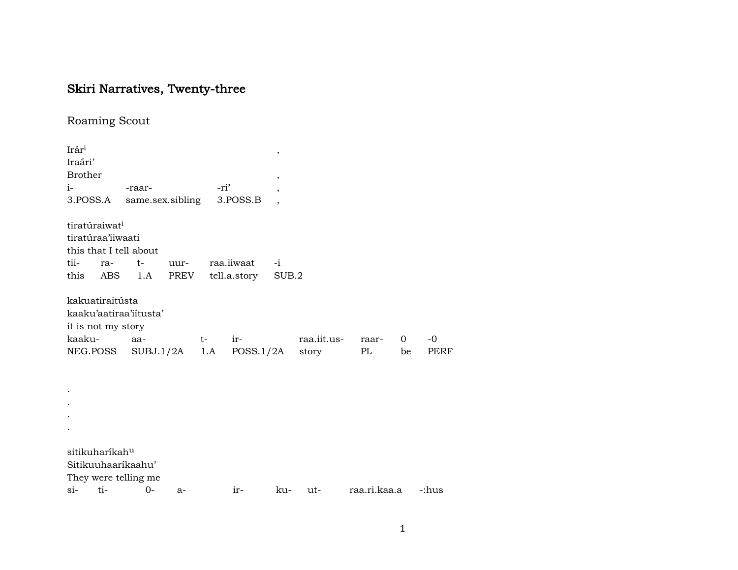## Skiri Narratives, Twenty-three

Roaming Scout

Irár³ , Iraári' **Brother** i- -raar- -ri' , 3.POSS.A same.sex.sibling 3.POSS.B , tiratúraiwat<sup>i</sup> tiratúraa'iiwaati this that I tell about tii- ra- t- uur- raa.iiwaat -i this ABS 1.A PREV tell.a.story SUB.2 kakuatiraitústa kaaku'aatiraa'iítusta' it is not my story kaaku- aa- t- ir- raa.iit.us- raar- 0 -0 NEG.POSS SUBJ.1/2A 1.A POSS.1/2A story PL be PERF . . . . sitikuharíkah<sup>u</sup> Sitikuuhaaríkaahu' They were telling me si- ti- 0- a- ir- ku- ut- raa.ri.kaa.a -:hus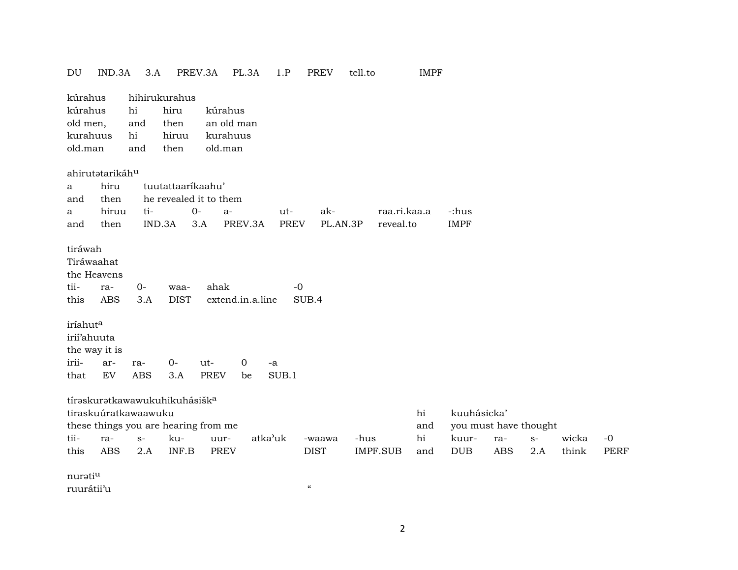| DU                                                                                            | IND.3A                                                         | 3.A                               |                                    | PREV.3A            | PL.3A                               |         | 1.P           | <b>PREV</b>                            | tell.to |                 | <b>IMPF</b> |             |                       |      |       |             |
|-----------------------------------------------------------------------------------------------|----------------------------------------------------------------|-----------------------------------|------------------------------------|--------------------|-------------------------------------|---------|---------------|----------------------------------------|---------|-----------------|-------------|-------------|-----------------------|------|-------|-------------|
| kúrahus                                                                                       |                                                                |                                   | hihirukurahus                      |                    |                                     |         |               |                                        |         |                 |             |             |                       |      |       |             |
| kúrahus                                                                                       |                                                                | hi                                | hiru                               |                    | kúrahus                             |         |               |                                        |         |                 |             |             |                       |      |       |             |
| old men,                                                                                      |                                                                | and                               | then                               |                    | an old man                          |         |               |                                        |         |                 |             |             |                       |      |       |             |
| kurahuus                                                                                      |                                                                | hi                                | hiruu                              |                    | kurahuus                            |         |               |                                        |         |                 |             |             |                       |      |       |             |
| old.man                                                                                       |                                                                | and                               | then                               |                    | old.man                             |         |               |                                        |         |                 |             |             |                       |      |       |             |
|                                                                                               |                                                                |                                   |                                    |                    |                                     |         |               |                                        |         |                 |             |             |                       |      |       |             |
|                                                                                               | ahirutatarikáhu                                                |                                   |                                    |                    |                                     |         |               |                                        |         |                 |             |             |                       |      |       |             |
| a                                                                                             | hiru                                                           |                                   | tuutattaarikaahu'                  |                    |                                     |         |               |                                        |         |                 |             |             |                       |      |       |             |
| and                                                                                           | then                                                           |                                   | he revealed it to them             |                    |                                     |         |               |                                        |         |                 |             |             |                       |      |       |             |
| a                                                                                             | hiruu                                                          | ti-                               |                                    | $0-$               | $a-$                                |         | ut-           | ak-                                    |         | raa.ri.kaa.a    |             | -:hus       |                       |      |       |             |
| and                                                                                           | then                                                           |                                   | IND.3A                             | 3.A                | PREV.3A                             |         | <b>PREV</b>   | PL.AN.3P                               |         | reveal.to       |             | <b>IMPF</b> |                       |      |       |             |
| tiráwah<br>Tiráwaahat<br>tii-<br>this<br>iríahut <sup>a</sup><br>irií'ahuuta<br>irii-<br>that | the Heavens<br>ra-<br><b>ABS</b><br>the way it is<br>ar-<br>EV | $O -$<br>3.A<br>ra-<br><b>ABS</b> | waa-<br><b>DIST</b><br>$0-$<br>3.A | ut-<br><b>PREV</b> | ahak<br>extend.in.a.line<br>0<br>be | -a      | $-0$<br>SUB.1 | SUB.4                                  |         |                 |             |             |                       |      |       |             |
|                                                                                               |                                                                |                                   |                                    |                    |                                     |         |               |                                        |         |                 |             |             |                       |      |       |             |
|                                                                                               | tíraskuratkawawukuhikuhásiška                                  |                                   |                                    |                    |                                     |         |               |                                        |         |                 |             |             |                       |      |       |             |
|                                                                                               | tiraskuúratkawaawuku                                           |                                   |                                    |                    |                                     |         |               |                                        |         |                 | hi          | kuuhásicka' |                       |      |       |             |
|                                                                                               | these things you are hearing from me                           |                                   |                                    |                    |                                     |         |               |                                        |         |                 | and         |             | you must have thought |      |       |             |
| tii-                                                                                          | ra-                                                            | $S-$                              | ku-                                |                    | uur-                                | atka'uk |               | -waawa                                 | -hus    |                 | hi          | kuur-       | ra-                   | $S-$ | wicka | $-0$        |
| this                                                                                          | <b>ABS</b>                                                     | 2.A                               | INF.B                              |                    | PREV                                |         |               | <b>DIST</b>                            |         | <b>IMPF.SUB</b> | and         | <b>DUB</b>  | <b>ABS</b>            | 2.A  | think | <b>PERF</b> |
|                                                                                               |                                                                |                                   |                                    |                    |                                     |         |               |                                        |         |                 |             |             |                       |      |       |             |
| nuratiu                                                                                       |                                                                |                                   |                                    |                    |                                     |         |               | $\boldsymbol{\zeta}\boldsymbol{\zeta}$ |         |                 |             |             |                       |      |       |             |
| ruurátii'u                                                                                    |                                                                |                                   |                                    |                    |                                     |         |               |                                        |         |                 |             |             |                       |      |       |             |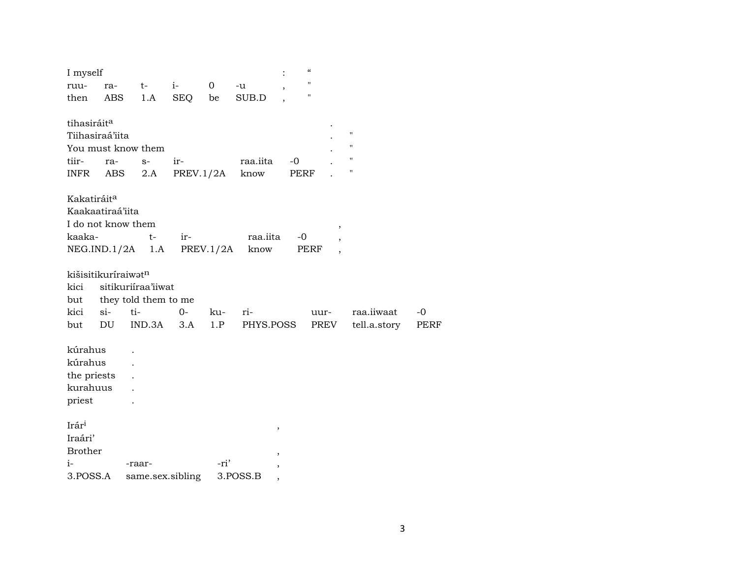| I myself                |       |                      |      |           |           |        | $\epsilon\epsilon$ |                    |      |
|-------------------------|-------|----------------------|------|-----------|-----------|--------|--------------------|--------------------|------|
| ruu-                    | ra-   | $t-$                 | $i-$ | 0         | -u        |        | $\bar{\mathbf{H}}$ |                    |      |
| then                    | ABS   | 1.A                  | SEQ  | be        | SUB.D     |        | $\pmb{\mathsf{H}}$ |                    |      |
|                         |       |                      |      |           |           |        |                    |                    |      |
| tihasiráit <sup>a</sup> |       |                      |      |           |           |        |                    |                    |      |
| Tiihasiraá'iita         |       |                      |      |           |           |        |                    | $\pmb{\mathsf{H}}$ |      |
|                         |       | You must know them   |      |           |           |        |                    | $\pmb{\mathsf{H}}$ |      |
| tiir-                   | ra-   | $S-$                 | ir-  |           | raa.iita  | $-0$   |                    | $\pmb{\mathsf{H}}$ |      |
| INFR                    | ABS   | 2.A                  |      | PREV.1/2A | know      |        | PERF               | $\pmb{\mathsf{H}}$ |      |
| Kakatiráit <sup>a</sup> |       |                      |      |           |           |        |                    |                    |      |
| Kaakaatiraá'iita        |       |                      |      |           |           |        |                    |                    |      |
| I do not know them      |       |                      |      |           |           |        | $\, ,$             |                    |      |
| kaaka-                  |       | t-                   | ir-  |           | raa.iita  |        | $-0$               |                    |      |
|                         |       | NEG.ID.1/2A 1.A      |      | PREV.1/2A | know      |        | PERF               |                    |      |
|                         |       |                      |      |           |           |        |                    |                    |      |
| kišisitikuríraiwatn     |       |                      |      |           |           |        |                    |                    |      |
| kici                    |       | sitikuriíraa'iiwat   |      |           |           |        |                    |                    |      |
| but                     |       | they told them to me |      |           |           |        |                    |                    |      |
| kici                    | $si-$ | ti-                  | $0-$ | ku-       | ri-       |        | uur-               | raa.iiwaat         | -0   |
| but                     | DU    | IND.3A               | 3.A  | 1.P       | PHYS.POSS |        | PREV               | tell.a.story       | PERF |
|                         |       |                      |      |           |           |        |                    |                    |      |
| kúrahus                 |       |                      |      |           |           |        |                    |                    |      |
| kúrahus                 |       |                      |      |           |           |        |                    |                    |      |
| the priests             |       |                      |      |           |           |        |                    |                    |      |
| kurahuus                |       |                      |      |           |           |        |                    |                    |      |
| priest                  |       |                      |      |           |           |        |                    |                    |      |
| Irár <sup>i</sup>       |       |                      |      |           |           | $\, ,$ |                    |                    |      |
| Iraári'                 |       |                      |      |           |           |        |                    |                    |      |
| <b>Brother</b>          |       |                      |      |           |           |        |                    |                    |      |
| $i-$                    |       | -raar-               |      | -ri'      |           |        |                    |                    |      |
| 3.POSS.A                |       | same.sex.sibling     |      |           | 3.POSS.B  |        |                    |                    |      |
|                         |       |                      |      |           |           |        |                    |                    |      |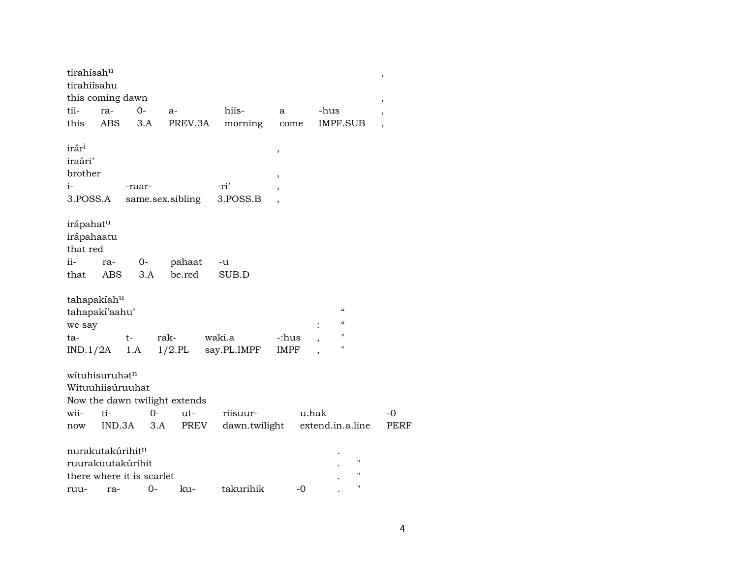| tirahísahu<br>tirahiísahu                                   |                                                                                |        |                               |                       |                      |                                                                                                     | $\, ,$                   |
|-------------------------------------------------------------|--------------------------------------------------------------------------------|--------|-------------------------------|-----------------------|----------------------|-----------------------------------------------------------------------------------------------------|--------------------------|
|                                                             | this coming dawn                                                               |        |                               |                       |                      |                                                                                                     | $\overline{\phantom{a}}$ |
| tii-                                                        | ra-                                                                            | $O -$  | a-                            | hiis-                 | a                    | -hus                                                                                                | $\overline{\phantom{a}}$ |
| this                                                        | <b>ABS</b>                                                                     | 3.A    | PREV.3A                       | morning               | come                 | IMPF.SUB                                                                                            | $\overline{\phantom{a}}$ |
| irár <sup>i</sup><br>iraári'<br>brother<br>$i-$<br>3.POSS.A |                                                                                | -raar- | same.sex.sibling              | -ri'<br>3.POSS.B      | ,<br>,<br>,          |                                                                                                     |                          |
| irápahatu<br>irápahaatu<br>that red                         |                                                                                |        |                               |                       |                      |                                                                                                     |                          |
| ii-                                                         | ra-                                                                            | $0-$   | pahaat                        | -u                    |                      |                                                                                                     |                          |
| that                                                        | ABS.                                                                           | 3.A    | be.red                        | SUB.D                 |                      |                                                                                                     |                          |
| tahapakiahu<br>we say<br>ta-<br>IND.1/2A                    | tahapaki'aahu'<br>t-                                                           | 1.A    | rak-<br>$1/2$ .PL             | waki.a<br>say.PL.IMPF | -:hus<br><b>IMPF</b> | $\boldsymbol{\mathcal{C}}$<br>$\boldsymbol{\mathcal{C}}$<br>$\mathbf{H}$<br>,<br>$\pmb{\mathsf{H}}$ |                          |
|                                                             | wituhisuruhatn<br>Wituuhiisúruuhat                                             |        | Now the dawn twilight extends |                       |                      |                                                                                                     |                          |
| wii-                                                        | ti-                                                                            | $0-$   | ut-                           | riisuur-              |                      | u.hak                                                                                               | $-0$                     |
| now                                                         | IND.3A                                                                         | 3.A    | PREV                          | dawn.twilight         |                      | extend.in.a.line                                                                                    | PERF                     |
|                                                             | nurakutakúrihit <sup>n</sup><br>ruurakuutakúrihit<br>there where it is scarlet |        |                               |                       |                      | $^{\prime}$<br>н<br>$\blacksquare$                                                                  |                          |
| ruu-                                                        | ra-                                                                            | $0-$   | ku-                           | takurihik             | $-0$                 |                                                                                                     |                          |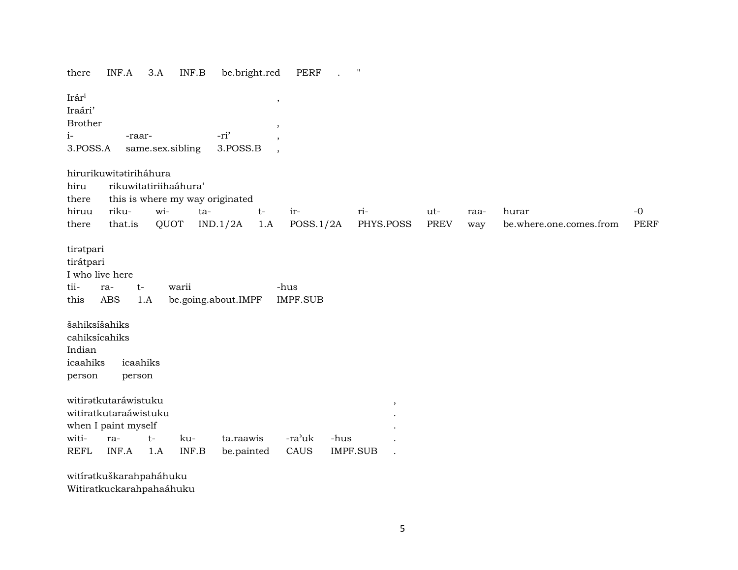there INF.A 3.A INF.B be.bright.red PERF . " Irár³ , Iraári' Brother , i- -raar- -ri' , 3.POSS.A same.sex.sibling 3.POSS.B , hirurikuwitatiriháhura hiru rikuwitatiriihaáhura' there this is where my way originated hiruu riku- wi- ta- t- ir- ri- ut- raa- hurar -0 there that.is QUOT IND.1/2A 1.A POSS.1/2A PHYS.POSS PREV way be.where.one.comes.from PERF tirətpari tirátpari I who live here tii- ra- t- warii -hus this ABS 1.A be.going.about.IMPF IMPF.SUB šahiksíšahiks cahiksícahiks Indian icaahiks icaahiks person person witirŸtkutaráwistuku , witiratkutaraáwistuku . when I paint myself witi- ra- t- ku- ta.raawis -ra'uk -hus REFL INF.A 1.A INF.B be.painted CAUS IMPF.SUB . witíratkuškarahpaháhuku

Witiratkuckarahpahaáhuku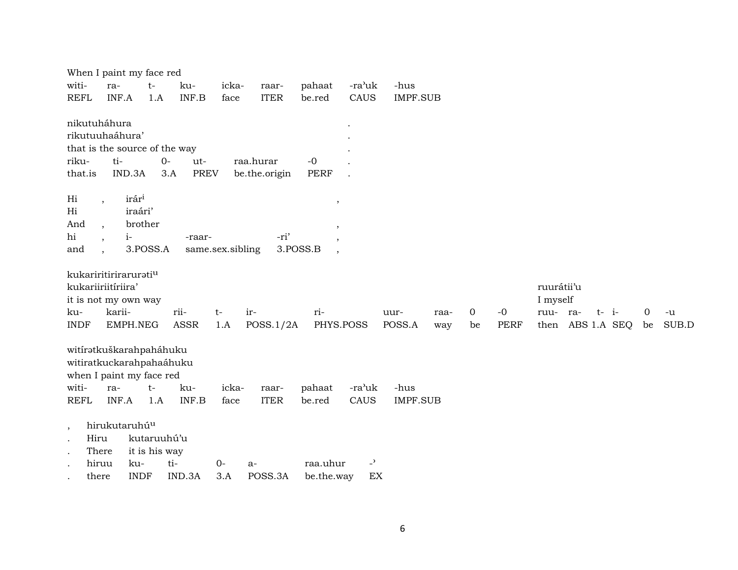|                      |                           | When I paint my face red      |                    |                  |               |                     |                |                 |      |    |             |            |                  |    |       |
|----------------------|---------------------------|-------------------------------|--------------------|------------------|---------------|---------------------|----------------|-----------------|------|----|-------------|------------|------------------|----|-------|
| witi-                | ra-                       | $t-$                          | ku-                | icka-            | raar-         | pahaat              | -ra'uk         | -hus            |      |    |             |            |                  |    |       |
| <b>REFL</b>          | INF.A                     | 1.A                           | INF.B              | face             | <b>ITER</b>   | be.red              | CAUS           | <b>IMPF.SUB</b> |      |    |             |            |                  |    |       |
|                      |                           |                               |                    |                  |               |                     |                |                 |      |    |             |            |                  |    |       |
|                      | nikutuháhura              |                               |                    |                  |               |                     |                |                 |      |    |             |            |                  |    |       |
|                      | rikutuuhaáhura'           |                               |                    |                  |               |                     |                |                 |      |    |             |            |                  |    |       |
|                      |                           | that is the source of the way |                    |                  |               |                     |                |                 |      |    |             |            |                  |    |       |
| riku-                | ti-                       |                               | $O -$<br>ut-       |                  | raa.hurar     | $-0$                |                |                 |      |    |             |            |                  |    |       |
| that.is              |                           | IND.3A                        | <b>PREV</b><br>3.A |                  | be.the.origin | <b>PERF</b>         |                |                 |      |    |             |            |                  |    |       |
|                      |                           |                               |                    |                  |               |                     |                |                 |      |    |             |            |                  |    |       |
| Hi                   |                           | irár <sup>i</sup>             |                    |                  |               |                     |                |                 |      |    |             |            |                  |    |       |
| Hi                   | $\overline{\phantom{a}}$  | iraári'                       |                    |                  |               | ,                   |                |                 |      |    |             |            |                  |    |       |
| And                  |                           | brother                       |                    |                  |               |                     |                |                 |      |    |             |            |                  |    |       |
| hi                   | $\overline{ }$ ,          | $i-$                          | -raar-             |                  | -ri'          | ,                   |                |                 |      |    |             |            |                  |    |       |
|                      | $\cdot$                   | 3.POSS.A                      |                    |                  |               |                     |                |                 |      |    |             |            |                  |    |       |
| and                  | $\cdot$                   |                               |                    | same.sex.sibling |               | 3.POSS.B<br>$\cdot$ |                |                 |      |    |             |            |                  |    |       |
|                      |                           |                               |                    |                  |               |                     |                |                 |      |    |             |            |                  |    |       |
|                      |                           | kukariritiriraruratiu         |                    |                  |               |                     |                |                 |      |    |             |            |                  |    |       |
|                      | kukariiriitíriira'        |                               |                    |                  |               |                     |                |                 |      |    |             | ruurátii'u |                  |    |       |
|                      |                           | it is not my own way          |                    |                  |               |                     |                |                 |      |    |             | I myself   |                  |    |       |
| ku-                  | karii-                    |                               | rii-               | $t-$             | ir-           | ri-                 |                | uur-            | raa- | 0  | $-0$        | ruu- ra-   | $t - i$          | 0  | $-u$  |
| <b>INDF</b>          |                           | EMPH.NEG                      | ASSR               | 1.A              | POSS.1/2A     | PHYS.POSS           |                | POSS.A          | way  | be | <b>PERF</b> |            | then ABS 1.A SEQ | be | SUB.D |
|                      |                           |                               |                    |                  |               |                     |                |                 |      |    |             |            |                  |    |       |
|                      |                           | witíratkuškarahpaháhuku       |                    |                  |               |                     |                |                 |      |    |             |            |                  |    |       |
|                      |                           | witiratkuckarahpahaáhuku      |                    |                  |               |                     |                |                 |      |    |             |            |                  |    |       |
|                      |                           | when I paint my face red      |                    |                  |               |                     |                |                 |      |    |             |            |                  |    |       |
| witi-                | ra-                       | $t-$                          | ku-                | icka-            | raar-         | pahaat              | -ra'uk         | -hus            |      |    |             |            |                  |    |       |
| <b>REFL</b>          | INF.A                     | 1.A                           | INF.B              | face             | <b>ITER</b>   | be.red              | CAUS           | <b>IMPF.SUB</b> |      |    |             |            |                  |    |       |
|                      |                           |                               |                    |                  |               |                     |                |                 |      |    |             |            |                  |    |       |
| $\cdot$              | hirukutaruhú <sup>u</sup> |                               |                    |                  |               |                     |                |                 |      |    |             |            |                  |    |       |
| $\bullet$            | Hiru                      | kutaruuhú'u                   |                    |                  |               |                     |                |                 |      |    |             |            |                  |    |       |
| $\ddot{\phantom{1}}$ | There                     | it is his way                 |                    |                  |               |                     |                |                 |      |    |             |            |                  |    |       |
|                      | hiruu                     | ku-                           | ti-                | $0-$             |               |                     |                |                 |      |    |             |            |                  |    |       |
|                      |                           |                               |                    |                  | a-            | raa.uhur            | $\overline{a}$ |                 |      |    |             |            |                  |    |       |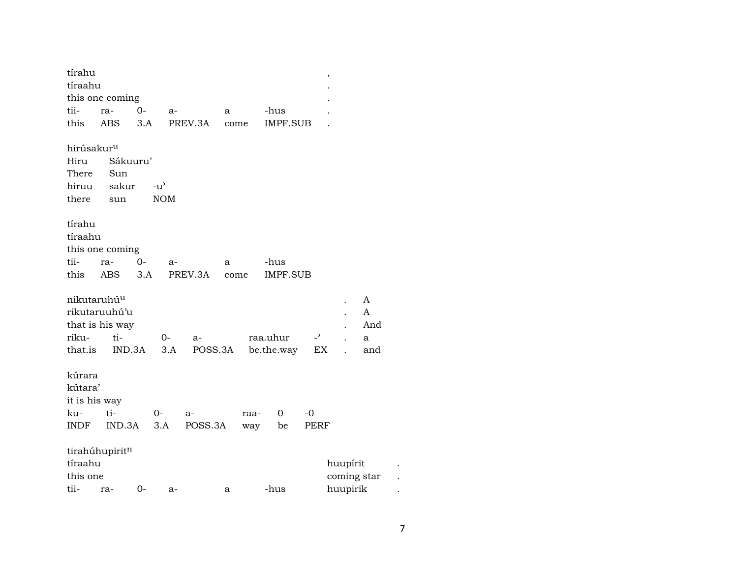| tírahu                                                                                 |                                                  |                 |                        | $\,$                                              |  |
|----------------------------------------------------------------------------------------|--------------------------------------------------|-----------------|------------------------|---------------------------------------------------|--|
| tíraahu                                                                                |                                                  |                 |                        |                                                   |  |
| this one coming                                                                        |                                                  |                 |                        |                                                   |  |
| tii-<br>ra-                                                                            | $0-$<br>$a-$                                     | a               | -hus                   |                                                   |  |
| this<br>$\operatorname{ABS}$                                                           | 3.A                                              | PREV.3A<br>come | <b>IMPF.SUB</b>        |                                                   |  |
| hirúsakur <sup>u</sup><br>Hiru<br>There<br>Sun<br>hiruu<br>there<br>sun                | Sákuuru'<br>sakur<br>$-u^{\prime}$<br><b>NOM</b> |                 |                        |                                                   |  |
| tírahu<br>tíraahu<br>this one coming                                                   |                                                  |                 |                        |                                                   |  |
| tii-<br>ra-                                                                            | $0-$<br>$a-$                                     | a               | -hus                   |                                                   |  |
| this<br>ABS                                                                            | 3.A                                              | PREV.3A<br>come | <b>IMPF.SUB</b>        |                                                   |  |
| nikutaruhú <sup>u</sup><br>rikutaruuhú'u<br>that is his way<br>riku-<br>ti-<br>that.is | 0-<br>IND.3A<br>3.A                              | $a-$<br>POSS.3A | raa.uhur<br>be.the.way | A<br>A<br>And<br>$\overline{a}$<br>a<br>EX<br>and |  |
| kúrara<br>kútara'<br>it is his way                                                     |                                                  |                 |                        |                                                   |  |
| ku-<br>ti-                                                                             | 0-                                               | a-              | $\mathbf 0$<br>raa-    | -0                                                |  |
| INDF                                                                                   | IND.3A<br>3.A                                    | POSS.3A         | be<br>way              | PERF                                              |  |
| tirahúhupiritn<br>tíraahu<br>this one<br>tii-<br>ra-                                   | $0-$<br>a-                                       | a               | -hus                   | huupírit<br>coming star<br>huupirik               |  |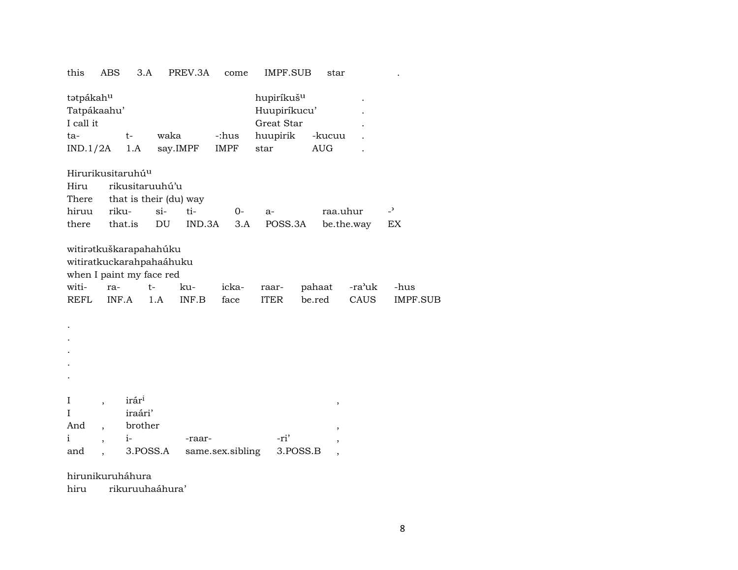| this                                                                                                   | ABS                      | 3.A                    |                  | PREV.3A      | come                 | IMPF.SUB                                                                 |                  | star       |                |                         |
|--------------------------------------------------------------------------------------------------------|--------------------------|------------------------|------------------|--------------|----------------------|--------------------------------------------------------------------------|------------------|------------|----------------|-------------------------|
| tatpákahu<br>Tatpákaahu'<br>I call it<br>$ta-$<br>IND.1/2A                                             |                          | $t-$<br>1.A            | waka<br>say.IMPF |              | -:hus<br><b>IMPF</b> | hupiríkuš <sup>u</sup><br>Huupiríkucu'<br>Great Star<br>huupirik<br>star | <b>AUG</b>       | -kucuu     |                |                         |
| Hirurikusitaruhú <sup>u</sup>                                                                          |                          |                        |                  |              |                      |                                                                          |                  |            |                |                         |
| Hiru                                                                                                   |                          | rikusitaruuhú'u        |                  |              |                      |                                                                          |                  |            |                |                         |
| There                                                                                                  |                          | that is their (du) way |                  |              |                      |                                                                          |                  |            |                |                         |
| hiruu                                                                                                  | riku-                    |                        | $si-$            | ti-          | 0-                   | a-                                                                       |                  | raa.uhur   |                | $\overline{a}$          |
| there                                                                                                  |                          | that.is                | DU               | IND.3A       | 3.A                  | POSS.3A                                                                  |                  | be.the.way |                | EX                      |
| witiratkuškarapahahúku<br>witiratkuckarahpahaáhuku<br>when I paint my face red<br>witi-<br><b>REFL</b> | ra-<br>INF.A             | $t-$                   | 1.A              | ku-<br>INF.B | icka-<br>face        | raar-<br><b>ITER</b>                                                     | pahaat<br>be.red |            | -ra'uk<br>CAUS | -hus<br><b>IMPF.SUB</b> |
|                                                                                                        |                          |                        |                  |              |                      |                                                                          |                  |            |                |                         |
|                                                                                                        |                          |                        |                  |              |                      |                                                                          |                  |            |                |                         |
|                                                                                                        |                          |                        |                  |              |                      |                                                                          |                  |            |                |                         |
|                                                                                                        |                          |                        |                  |              |                      |                                                                          |                  |            |                |                         |
|                                                                                                        |                          |                        |                  |              |                      |                                                                          |                  |            |                |                         |
| $\rm I$                                                                                                | $\overline{\phantom{a}}$ | irár <sup>i</sup>      |                  |              |                      |                                                                          |                  | ,          |                |                         |
| I                                                                                                      |                          | iraári'                |                  |              |                      |                                                                          |                  |            |                |                         |
| And                                                                                                    |                          | brother                |                  |              |                      |                                                                          |                  | ,          |                |                         |
| i                                                                                                      | $\overline{ }$           | $i-$                   |                  | -raar-       |                      | -ri'                                                                     |                  | ,          |                |                         |

and, 3.POSS.A same.sex.sibling 3.POSS.B,

hirunikuruháhura

rikuruuhaáhura' hiru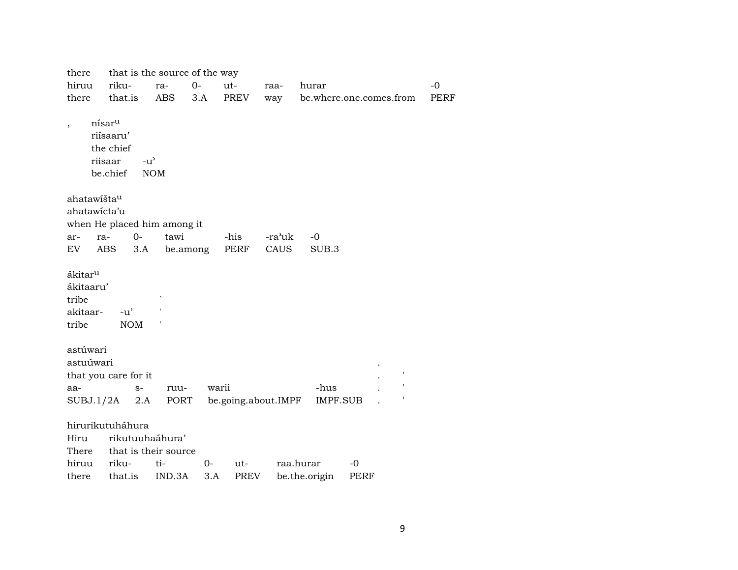| there                                                          |                                                                     | that is the source of the way |       |             |                     |                 |                         |             |
|----------------------------------------------------------------|---------------------------------------------------------------------|-------------------------------|-------|-------------|---------------------|-----------------|-------------------------|-------------|
| hiruu                                                          | riku-                                                               | ra-                           | $0-$  | ut-         | raa-                | hurar           |                         | $-0$        |
| there                                                          | that.is                                                             | <b>ABS</b>                    | 3.A   | <b>PREV</b> | way                 |                 | be.where.one.comes.from | <b>PERF</b> |
| $\overline{\phantom{a}}$                                       | nísar <sup>u</sup><br>riísaaru'<br>the chief<br>riisaar<br>be.chief | $-u^{\prime}$<br><b>NOM</b>   |       |             |                     |                 |                         |             |
| ahatawišta <sup>u</sup>                                        |                                                                     |                               |       |             |                     |                 |                         |             |
| ahatawicta'u                                                   |                                                                     |                               |       |             |                     |                 |                         |             |
|                                                                | when He placed him among it                                         |                               |       |             |                     |                 |                         |             |
| ar-                                                            | $0-$<br>ra-                                                         | tawi                          |       | -his        | -ra'uk              | $-0$            |                         |             |
| EV.                                                            | ABS<br>3.A                                                          | be.among                      |       | <b>PERF</b> | CAUS                | SUB.3           |                         |             |
| ákitar <sup>u</sup><br>ákitaaru'<br>tribe<br>akitaar-<br>tribe | $-u'$<br><b>NOM</b>                                                 |                               |       |             |                     |                 |                         |             |
| astúwari                                                       |                                                                     |                               |       |             |                     |                 |                         |             |
| astuúwari                                                      |                                                                     |                               |       |             |                     |                 |                         |             |
|                                                                | that you care for it                                                |                               |       |             |                     |                 |                         |             |
| aa-                                                            | $S-$                                                                | ruu-                          | warii |             |                     | -hus            |                         |             |
| SUBJ.1/2A                                                      | 2.A                                                                 | PORT                          |       |             | be.going.about.IMPF | <b>IMPF.SUB</b> |                         |             |
| Hiru<br>There                                                  | hirurikutuháhura<br>rikutuuhaáhura'                                 | that is their source          |       |             |                     |                 |                         |             |
| hiruu                                                          | riku-                                                               | ti-                           | 0-    | $ut-$       |                     | raa.hurar       | -0                      |             |
| there                                                          | that.is                                                             | IND.3A                        | 3.A   | <b>PREV</b> |                     | be.the.origin   | PERF                    |             |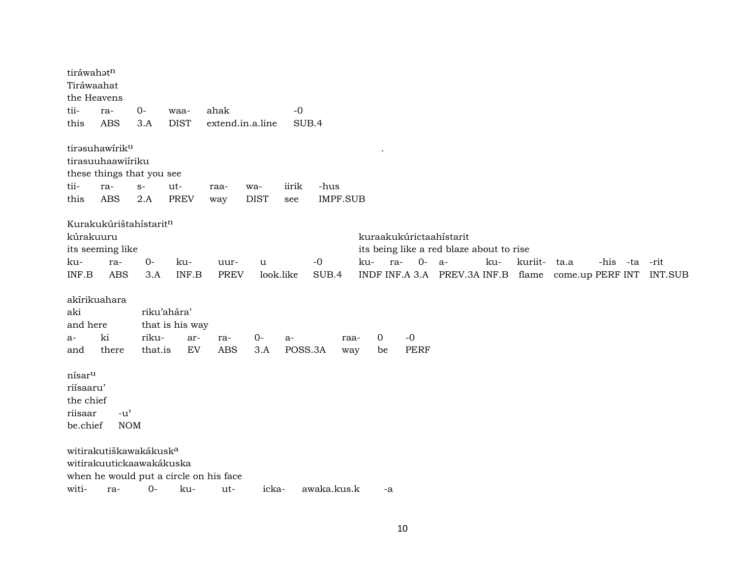| tiráwahatn<br>Tiráwaahat<br>the Heavens                 |                                                                |                  |                                               |                     |                    |               |                  |         |                     |                                                                    |         |      |               |                |
|---------------------------------------------------------|----------------------------------------------------------------|------------------|-----------------------------------------------|---------------------|--------------------|---------------|------------------|---------|---------------------|--------------------------------------------------------------------|---------|------|---------------|----------------|
| tii-                                                    | ra-                                                            | $0-$             | waa-                                          | ahak                |                    | $-0$          |                  |         |                     |                                                                    |         |      |               |                |
| this                                                    | <b>ABS</b>                                                     | 3.A              | <b>DIST</b>                                   | extend.in.a.line    |                    | SUB.4         |                  |         |                     |                                                                    |         |      |               |                |
|                                                         | tirəsuhawirik <sup>u</sup><br>tirasuuhaawiíriku                |                  |                                               |                     |                    |               |                  |         |                     |                                                                    |         |      |               |                |
|                                                         | these things that you see                                      |                  |                                               |                     |                    |               |                  |         |                     |                                                                    |         |      |               |                |
| tii-<br>this                                            | ra-<br><b>ABS</b>                                              | $S-$<br>2.A      | ut-<br><b>PREV</b>                            | raa-<br>way         | wa-<br><b>DIST</b> | iirik<br>see  | -hus<br>IMPF.SUB |         |                     |                                                                    |         |      |               |                |
|                                                         | Kurakukúrištahístaritn                                         |                  |                                               |                     |                    |               |                  |         |                     |                                                                    |         |      |               |                |
| kúrakuuru                                               |                                                                |                  |                                               |                     |                    |               |                  |         |                     | kuraakukúrictaahístarit                                            |         |      |               |                |
|                                                         | its seeming like                                               |                  |                                               |                     |                    |               |                  |         |                     | its being like a red blaze about to rise                           |         |      |               |                |
| ku-<br>INF.B                                            | ra-<br><b>ABS</b>                                              | $0-$<br>3.A      | ku-<br>INF.B                                  | uur-<br><b>PREV</b> | u<br>look.like     |               | $-0$<br>SUB.4    | ku-     | $0-$<br>ra-         | ku-<br>- a-<br>INDF INF.A 3.A PREV.3A INF.B flame come.up PERF INT | kuriit- | ta.a | -his -ta -rit | <b>INT.SUB</b> |
|                                                         | akírikuahara                                                   |                  |                                               |                     |                    |               |                  |         |                     |                                                                    |         |      |               |                |
| aki                                                     |                                                                |                  | riku'ahára'                                   |                     |                    |               |                  |         |                     |                                                                    |         |      |               |                |
| and here                                                |                                                                |                  | that is his way                               |                     |                    |               |                  |         |                     |                                                                    |         |      |               |                |
| a-<br>and                                               | ki<br>there                                                    | riku-<br>that.is | ar-<br>EV                                     | ra-<br><b>ABS</b>   | $0-$<br>3.A        | a-<br>POSS.3A | raa-<br>way      | 0<br>be | $-0$<br><b>PERF</b> |                                                                    |         |      |               |                |
| nísar <sup>u</sup><br>riísaaru'<br>the chief<br>riisaar | $-u^{\prime}$                                                  |                  |                                               |                     |                    |               |                  |         |                     |                                                                    |         |      |               |                |
| be.chief                                                | <b>NOM</b>                                                     |                  |                                               |                     |                    |               |                  |         |                     |                                                                    |         |      |               |                |
|                                                         | witirakutiškawakákusk <sup>a</sup><br>witirakuutickaawakákuska |                  |                                               |                     |                    |               |                  |         |                     |                                                                    |         |      |               |                |
| witi-                                                   | ra-                                                            | $0-$             | when he would put a circle on his face<br>ku- | ut-                 | icka-              |               | awaka.kus.k      | -a      |                     |                                                                    |         |      |               |                |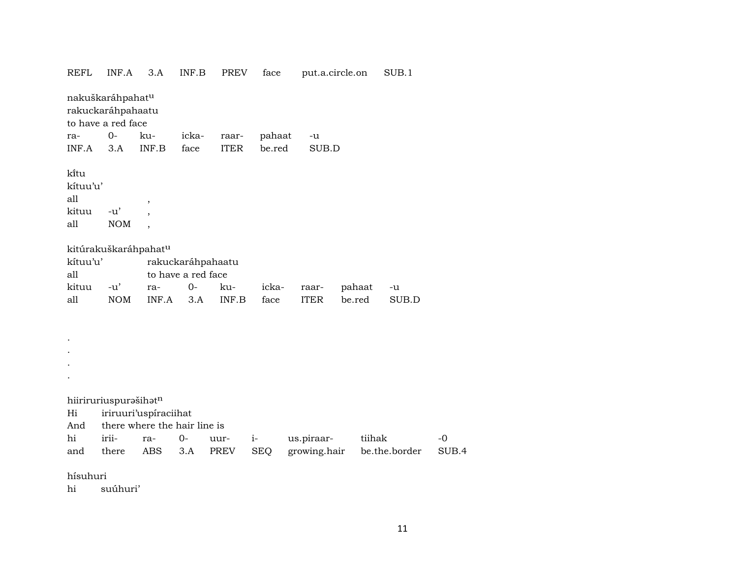REFL INF.A 3.A INF.B PREV face put.a.circle.on SUB.1 nakuškaráhpahatµ rakuckaráhpahaatu to have a red face ra- 0- ku- icka- raar- pahaat -u INF.A 3.A INF.B face ITER be.red SUB.D kïtu kítuu'u' all , kituu -u' , all NOM , kitúrakuškaráhpahat<sup>u</sup> kítuu'u' rakuckaráhpahaatu all to have a red face kituu -u' ra- 0- ku- icka- raar- pahaat -u all NOM INF.A 3.A INF.B face ITER be.red SUB.D . . . . hiiriruriuspurašihatn Hi iriruuri'uspíraciihat And there where the hair line is hi irii- ra- 0- uur- i- us.piraar- tiihak -0 and there ABS 3.A PREV SEQ growing.hair be.the.border SUB.4 hísuhuri hi suúhuri'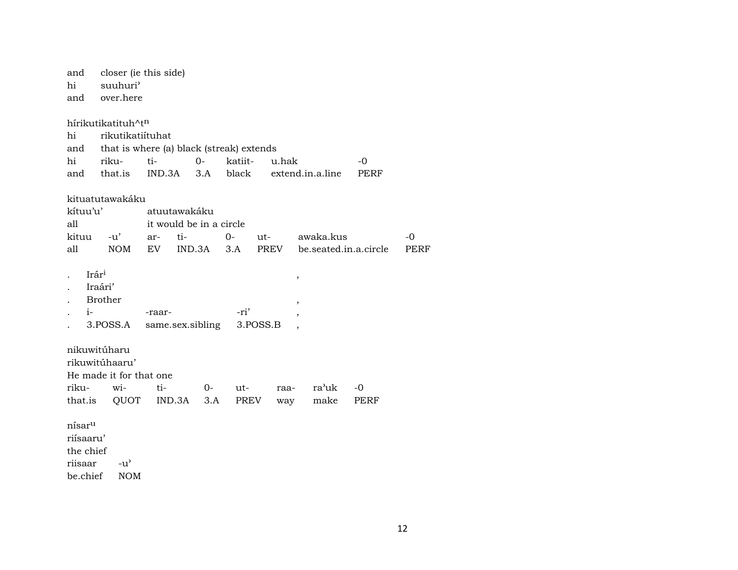closer (ie this side) and suuhuri<sup>3</sup> hi over.here and

hírikutikatituh^tn hi rikutikatiítuhat that is where (a) black (streak) extends and hi rikuti- $O$ katiitu.hak  $-0$ IND.3A  $3.A$ and that.is black extend.in.a.line PERF kituatutawakáku kítuu'u' atuutawakáku it would be in a circle all  $O -0$ kituu  $-u'$ ar $ti$ utawaka.kus  $\mathop{\rm all}\nolimits$ be.seated.in.a.circle **NOM** IND.3A  $3.A$ PREV **PERF**  ${\rm EV}$ Irár<sup>i</sup>  $\,$  , Iraári'  $D_{\text{max}}$  41.

|               | Brother      |                                         |      |  |
|---------------|--------------|-----------------------------------------|------|--|
| $\cdot$ $i$ - |              | -raar-                                  | -ri' |  |
|               |              | . 3. POSS.A same.sex.sibling 3. POSS.B, |      |  |
|               | nikuwitúharu |                                         |      |  |

rikuwitúhaaru' He made it for that one rikuwiti- $0$ ra'uk  $-0$ utraathat.is QUOT IND.3A  $3.A$ **PREV** make **PERF** way

 $\mathring{\text{n} \text{n} \text{s} \text{a} \text{r}^\text{u}$ riísaaru' the chief riisaar  $-u^{\prime}$ be.chief **NOM**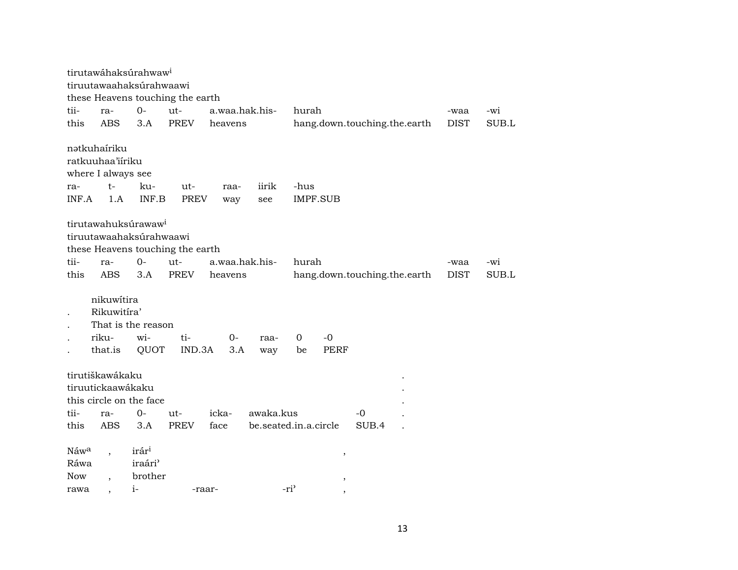|            |                           | tirutawáhaksúrahwaw <sup>i</sup> |                                  |                |                       |                  |                 |                              |             |       |
|------------|---------------------------|----------------------------------|----------------------------------|----------------|-----------------------|------------------|-----------------|------------------------------|-------------|-------|
|            |                           | tiruutawaahaksúrahwaawi          |                                  |                |                       |                  |                 |                              |             |       |
|            |                           |                                  | these Heavens touching the earth |                |                       |                  |                 |                              |             |       |
| tii-       | ra-<br><b>ABS</b>         | $O-$                             | ut-                              | a.waa.hak.his- |                       | hurah            |                 |                              | -waa        | -wi   |
| this       |                           | 3.A                              | <b>PREV</b>                      | heavens        |                       |                  |                 | hang.down.touching.the.earth | <b>DIST</b> | SUB.L |
|            | nətkuhairiku              |                                  |                                  |                |                       |                  |                 |                              |             |       |
|            | ratkuuhaa'iiriku          |                                  |                                  |                |                       |                  |                 |                              |             |       |
|            | where I always see        |                                  |                                  |                |                       |                  |                 |                              |             |       |
| ra-        | $t-$                      | ku-                              | ut-                              | raa-           | iirik                 | -hus             |                 |                              |             |       |
| INF.A      | 1.A                       | INF.B                            | <b>PREV</b>                      | way            | see                   |                  | <b>IMPF.SUB</b> |                              |             |       |
|            |                           |                                  |                                  |                |                       |                  |                 |                              |             |       |
|            |                           | tirutawahuksúrawaw <sup>i</sup>  |                                  |                |                       |                  |                 |                              |             |       |
|            |                           | tiruutawaahaksúrahwaawi          |                                  |                |                       |                  |                 |                              |             |       |
|            |                           |                                  | these Heavens touching the earth |                |                       |                  |                 |                              |             |       |
| tii-       | ra-                       | $0-$                             | ut-                              | a.waa.hak.his- |                       | hurah            |                 |                              | -waa        | -wi   |
| this       | <b>ABS</b>                | 3.A                              | <b>PREV</b>                      | heavens        |                       |                  |                 | hang.down.touching.the.earth | <b>DIST</b> | SUB.L |
|            |                           |                                  |                                  |                |                       |                  |                 |                              |             |       |
|            | nikuwítira<br>Rikuwitíra' |                                  |                                  |                |                       |                  |                 |                              |             |       |
|            |                           | That is the reason               |                                  |                |                       |                  |                 |                              |             |       |
|            | riku-                     | wi-                              | ti-                              | $0-$           | raa-                  | 0                | $-0$            |                              |             |       |
|            | that.is                   | QUOT                             | IND.3A                           | 3.A            | way                   | be               | <b>PERF</b>     |                              |             |       |
|            |                           |                                  |                                  |                |                       |                  |                 |                              |             |       |
|            | tirutiškawákaku           |                                  |                                  |                |                       |                  |                 |                              |             |       |
|            | tiruutickaawákaku         |                                  |                                  |                |                       |                  |                 |                              |             |       |
|            |                           | this circle on the face          |                                  |                |                       |                  |                 |                              |             |       |
| tii-       | ra-                       | $0-$                             | ut-                              | icka-          | awaka.kus             |                  |                 | -0                           |             |       |
| this       | <b>ABS</b>                | 3.A                              | <b>PREV</b>                      | face           | be.seated.in.a.circle |                  |                 | SUB.4                        |             |       |
|            |                           |                                  |                                  |                |                       |                  |                 |                              |             |       |
| Náwa       |                           | irár <sup>i</sup>                |                                  |                |                       |                  | $\, ,$          |                              |             |       |
| Ráwa       |                           | iraári <sup>3</sup>              |                                  |                |                       |                  |                 |                              |             |       |
| <b>Now</b> |                           | brother                          |                                  |                |                       |                  | $\, ,$          |                              |             |       |
| rawa       |                           | $i-$                             |                                  | -raar-         |                       | -ri <sup>3</sup> |                 |                              |             |       |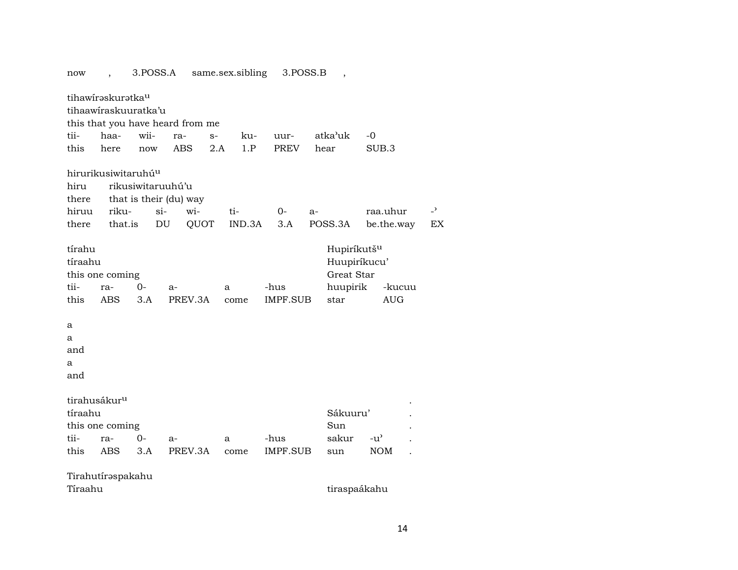now , 3.POSS.A same.sex.sibling 3.POSS.B , tihawíraskuratka<sup>u</sup> tihaawíraskuuratka'u this that you have heard from me tii- haa- wii- ra- s- ku- uur- atka'uk -0 this here now ABS 2.A 1.P PREV hear SUB.3 hirurikusiwitaruhú<sup>u</sup> hiru rikusiwitaruuhú'u there that is their (du) way hiruu riku- si- wi- ti- 0- a- raa.uhur -<sup>></sup> there that.is DU QUOT IND.3A 3.A POSS.3A be.the.way EX tírahu **Hupiríkutš<sup>u</sup>** tíraahu Huupiríkucu' this one coming Great Star tii- ra- 0- a- a -hus huupirik -kucuu this ABS 3.A PREV.3A come IMPF.SUB star AUG a a and a and tirahusákur<sup>u</sup> tíraahu Sákuuru' . this one coming Sun Sun . tii- ra- 0- a- a -hus sakur -u" . this ABS 3.A PREV.3A come IMPF.SUB sun NOM . Tirahutírəspakahu Tíraahu tiraspaákahu tiraspaákahu tiraspaákahu tiraspaákahu tiraspaákahu tiraspaákahu tiraspaákahu tiraspaákahu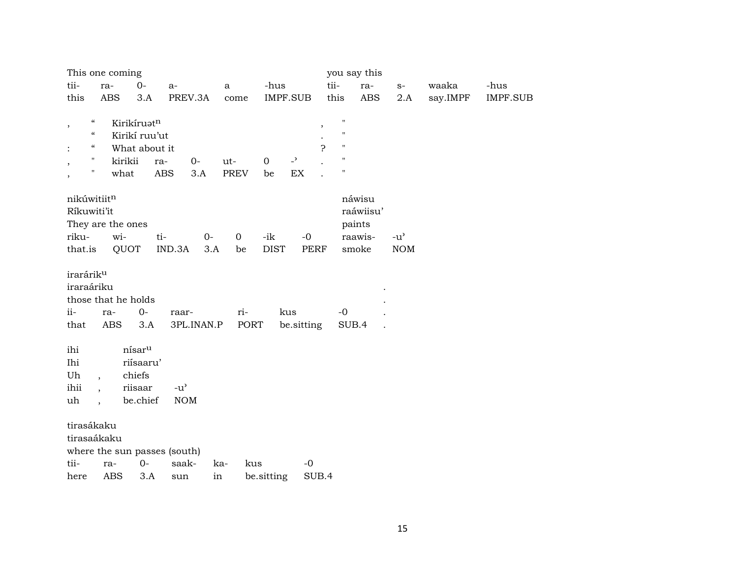|                       | This one coming                        |                    |                                     |            |              |              |                          |                    | you say this |                |          |          |
|-----------------------|----------------------------------------|--------------------|-------------------------------------|------------|--------------|--------------|--------------------------|--------------------|--------------|----------------|----------|----------|
| tii-                  | ra-                                    | $O -$              | $a-$                                |            | $\mathbf{a}$ | -hus         |                          | tii-               | ra-          | $\mathbf{S}^-$ | waaka    | -hus     |
| this                  | <b>ABS</b>                             | 3.A                |                                     | PREV.3A    | come         | IMPF.SUB     |                          | this               | ABS          | 2.A            | say.IMPF | IMPF.SUB |
| $\, ,$                | $\epsilon\epsilon$                     | Kirikíruatn        |                                     |            |              |              | $^\mathrm{,}$            | $\pmb{\mathsf{H}}$ |              |                |          |          |
|                       | $\boldsymbol{\zeta}\boldsymbol{\zeta}$ | Kirikí ruu'ut      |                                     |            |              |              |                          | $\pmb{\mathsf{H}}$ |              |                |          |          |
|                       | $\mathcal{C}\mathcal{C}$               | What about it      |                                     |            |              |              | ς                        | $\pmb{\mathsf{H}}$ |              |                |          |          |
|                       | $\mathbf{H}$                           | kirikii            | ra-                                 | $0-$       | ut-          | $\mathbf{O}$ | $\overline{\phantom{0}}$ | $\pmb{\mathsf{H}}$ |              |                |          |          |
|                       | $\pmb{\mathsf{H}}$                     | what               | ABS                                 | 3.A        | PREV         | be           | EX                       | $\pmb{\mathsf{H}}$ |              |                |          |          |
|                       | nikúwitiitn                            |                    |                                     |            |              |              |                          |                    | náwisu       |                |          |          |
|                       | Ríkuwiti'it                            |                    |                                     |            |              |              |                          |                    | raáwiisu'    |                |          |          |
|                       | They are the ones                      |                    |                                     |            |              |              |                          |                    | paints       |                |          |          |
| riku-                 | wi-                                    |                    | ti-                                 | $0-$       | $\mathbf 0$  | -ik          | $-0$                     |                    | raawis-      | $-u^{\prime}$  |          |          |
| that.is               |                                        | QUOT               | IND.3A                              | 3.A        | be           | <b>DIST</b>  | <b>PERF</b>              |                    | smoke        | <b>NOM</b>     |          |          |
| irarárik <sup>u</sup> |                                        |                    |                                     |            |              |              |                          |                    |              |                |          |          |
| iraraáriku            |                                        |                    |                                     |            |              |              |                          |                    |              |                |          |          |
|                       | those that he holds                    |                    |                                     |            |              |              |                          |                    |              |                |          |          |
| $ii -$                | ra-                                    | $0-$               | raar-                               |            | ri-          | kus          |                          | $-0$               |              |                |          |          |
| that                  | ABS                                    | 3.A                |                                     | 3PL.INAN.P | PORT         |              | be.sitting               |                    | SUB.4        |                |          |          |
| ihi                   |                                        | nísar <sup>u</sup> |                                     |            |              |              |                          |                    |              |                |          |          |
| Ihi                   |                                        | riísaaru'          |                                     |            |              |              |                          |                    |              |                |          |          |
| Uh                    | $\overline{\phantom{a}}$               | chiefs             |                                     |            |              |              |                          |                    |              |                |          |          |
| ihii                  | $\ddot{\phantom{0}}$                   | riisaar            | $-u$ <sup><math>\prime</math></sup> |            |              |              |                          |                    |              |                |          |          |
| uh                    | $\overline{\phantom{a}}$               | be.chief           | <b>NOM</b>                          |            |              |              |                          |                    |              |                |          |          |
|                       | tirasákaku                             |                    |                                     |            |              |              |                          |                    |              |                |          |          |
|                       | tirasaákaku                            |                    |                                     |            |              |              |                          |                    |              |                |          |          |
|                       |                                        |                    | where the sun passes (south)        |            |              |              |                          |                    |              |                |          |          |
| tii-                  | ra-                                    | $0-$               | saak-                               |            | ka-          | kus          | $-0$                     |                    |              |                |          |          |
| here                  | <b>ABS</b>                             | 3.A                | sun                                 | in         |              | be.sitting   | SUB.4                    |                    |              |                |          |          |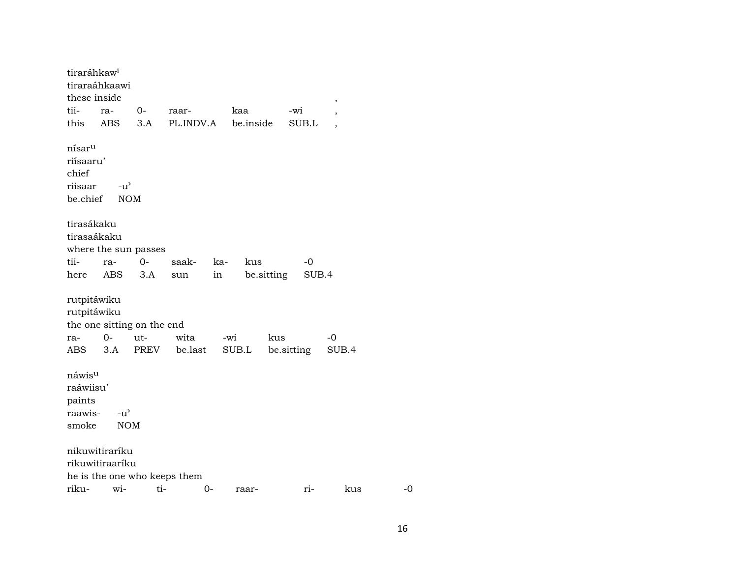| tiraráhkaw <sup>i</sup><br>these inside                         | tiraraáhkaawi                              |             |                              |     |              |            |            | $\,$        |      |  |
|-----------------------------------------------------------------|--------------------------------------------|-------------|------------------------------|-----|--------------|------------|------------|-------------|------|--|
| tii-                                                            | ra-                                        | $0-$        | raar-                        |     | kaa          |            | -wi        |             |      |  |
| this                                                            | ABS                                        | 3.A         | PL.INDV.A                    |     | be.inside    |            | SUB.L      |             |      |  |
| nísar <sup>u</sup><br>riísaaru'<br>chief<br>riisaar<br>be.chief | $-u^{\prime}$<br><b>NOM</b>                |             |                              |     |              |            |            |             |      |  |
| tirasákaku<br>tirasaákaku                                       | where the sun passes                       |             |                              |     |              |            |            |             |      |  |
| tii-                                                            | ra-                                        | $O -$       | saak-                        | ka- | kus          |            | -0         |             |      |  |
| here                                                            | ABS                                        | 3.A         | sun                          | in  |              | be.sitting | SUB.4      |             |      |  |
| rutpitáwiku<br>rutpitáwiku<br>ra-<br>ABS                        | the one sitting on the end<br>$O -$<br>3.A | ut-<br>PREV | wita<br>be.last              |     | -wi<br>SUB.L | kus        | be sitting | -0<br>SUB.4 |      |  |
| náwis <sup>u</sup><br>raáwiisu'<br>paints<br>raawis-<br>smoke   | $-u^{\prime}$<br><b>NOM</b>                |             |                              |     |              |            |            |             |      |  |
|                                                                 | nikuwitiraríku<br>rikuwitiraaríku          |             |                              |     |              |            |            |             |      |  |
|                                                                 |                                            |             | he is the one who keeps them |     |              |            |            |             |      |  |
| riku-                                                           | wi-                                        | ti-         | 0-                           |     | raar-        |            | ri-        | kus         | $-0$ |  |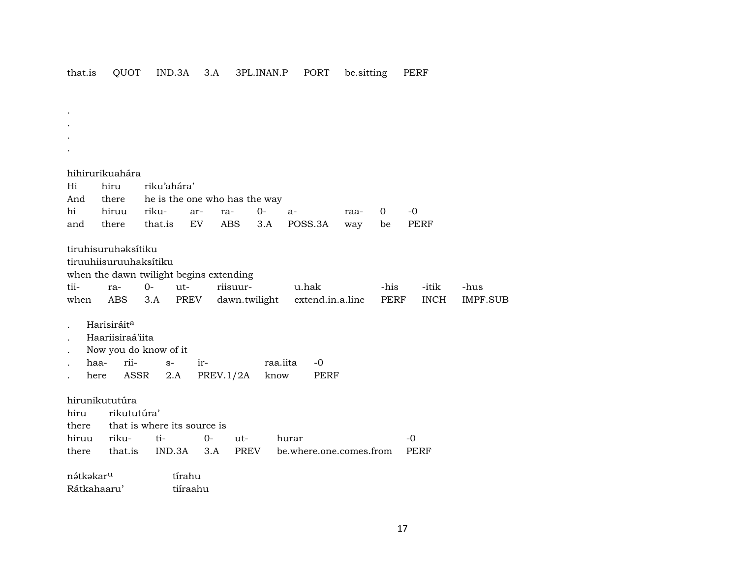that.is QUOT IND.3A 3.A 3PL.INAN.P PORT be.sitting PERF

. .

. . hihirurikuahára Hi hiru riku'ahára' And there he is the one who has the way hi hiruu riku- ar- ra- 0- a- raa- 0 -0 and there that.is EV ABS 3.A POSS.3A way be PERF tiruhisuruhaksítiku tiruuhiisuruuhaksítiku when the dawn twilight begins extending tii- ra- 0- ut- riisuur- u.hak -his -itik -hus when ABS 3.A PREV dawn.twilight extend.in.a.line PERF INCH IMPF.SUB Harisiráit<sup>a</sup> . Haariisiraá'iita . Now you do know of it . haa- rii- s- ir- raa.iita -0 here ASSR 2.A PREV.1/2A know PERF hirunikututúra hiru rikututúra' there that is where its source is hiruu riku- ti- 0- ut- hurar -0 there that.is IND.3A 3.A PREV be.where.one.comes.from PERF nátkakar<sup>u</sup> tírahu Rátkahaaru' tiíraahu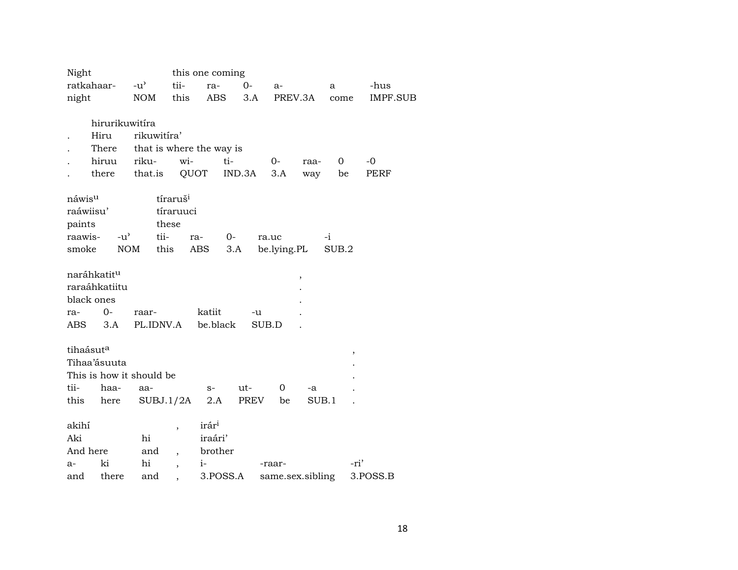| Night                   |                |                          |                          | this one coming          |        |                  |       |             |             |
|-------------------------|----------------|--------------------------|--------------------------|--------------------------|--------|------------------|-------|-------------|-------------|
| ratkahaar-              |                | $-u^{\prime}$            | tii-                     | ra-                      | $0-$   | $a-$             |       | a           | -hus        |
| night                   |                | NOM                      | this                     | ABS                      | 3.A    | PREV.3A          |       | come        | IMPF.SUB    |
|                         |                |                          |                          |                          |        |                  |       |             |             |
|                         | hirurikuwitíra |                          |                          |                          |        |                  |       |             |             |
|                         | Hiru           | rikuwitíra'              |                          |                          |        |                  |       |             |             |
|                         | There          |                          |                          | that is where the way is |        |                  |       |             |             |
|                         | hiruu          | riku-                    | wi-                      | ti-                      |        | 0-               | raa-  | $\mathbf 0$ | $-0$        |
|                         | there          | that.is                  | QUOT                     |                          | IND.3A | 3.A              | way   | be          | <b>PERF</b> |
|                         |                |                          |                          |                          |        |                  |       |             |             |
| náwis <sup>u</sup>      |                |                          | tíraruš <sup>i</sup>     |                          |        |                  |       |             |             |
| raáwiisu'               |                |                          | tíraruuci                |                          |        |                  |       |             |             |
| paints                  |                |                          | these                    |                          |        |                  |       |             |             |
| raawis-                 | $-u^{\prime}$  | tii-                     |                          | $0-$<br>ra-              |        | ra.uc            |       | $-i$        |             |
| smoke                   |                | NOM                      | this                     | ABS                      | 3.A    | be.lying.PL      |       | SUB.2       |             |
|                         |                |                          |                          |                          |        |                  |       |             |             |
| naráhkatit <sup>u</sup> |                |                          |                          |                          |        |                  | ,     |             |             |
|                         | raraáhkatiitu  |                          |                          |                          |        |                  |       |             |             |
| black ones              |                |                          |                          |                          |        |                  |       |             |             |
| ra-                     | $0-$           | raar-                    |                          | katiit                   | -u     |                  |       |             |             |
| ABS                     | 3.A            | PL.IDNV.A                |                          | be.black                 |        | SUB.D            |       |             |             |
|                         |                |                          |                          |                          |        |                  |       |             |             |
| tihaásut <sup>a</sup>   |                |                          |                          |                          |        |                  |       | ,           |             |
|                         | Tihaa'ásuuta   |                          |                          |                          |        |                  |       |             |             |
|                         |                | This is how it should be |                          |                          |        |                  |       |             |             |
| tii-                    | haa-           | aa-                      |                          | $S-$                     | ut-    | $\mathbf 0$      | -a    |             |             |
| this                    | here           |                          | SUBJ.1/2A                | 2.A                      | PREV   | be               | SUB.1 |             |             |
|                         |                |                          |                          |                          |        |                  |       |             |             |
| akihí                   |                |                          | ,                        | irár <sup>i</sup>        |        |                  |       |             |             |
| Aki                     |                | hi                       |                          | iraári'                  |        |                  |       |             |             |
| And here                |                | and                      |                          | brother                  |        |                  |       |             |             |
| $a-$                    | ki             | hi                       | $\overline{\phantom{a}}$ | $i-$                     |        | -raar-           |       | -ri'        |             |
| and                     | there          | and                      |                          | 3.POSS.A                 |        | same.sex.sibling |       |             | 3.POSS.B    |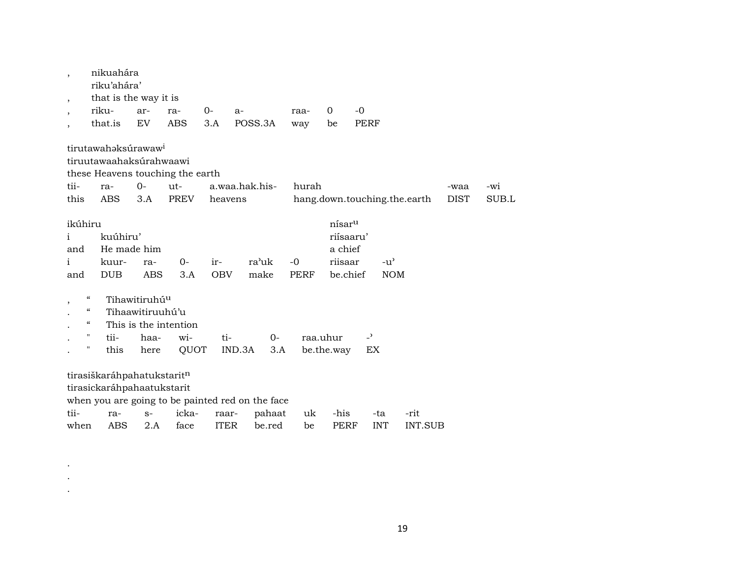| $^\mathrm{,}$                    | nikuahára<br>riku'ahára'                                                                                     |                                  |                       |                   |                |              |                                                                   |                              |         |      |       |
|----------------------------------|--------------------------------------------------------------------------------------------------------------|----------------------------------|-----------------------|-------------------|----------------|--------------|-------------------------------------------------------------------|------------------------------|---------|------|-------|
|                                  |                                                                                                              |                                  |                       |                   |                |              |                                                                   |                              |         |      |       |
| $\cdot$                          | that is the way it is                                                                                        |                                  |                       |                   |                |              |                                                                   |                              |         |      |       |
|                                  | riku-                                                                                                        | ar-                              | ra-                   | $0-$              | $a-$           | raa-         | $\mathbf 0$                                                       | $-0$                         |         |      |       |
| $\overline{\phantom{a}}$         | that.is                                                                                                      | EV                               | <b>ABS</b>            | 3.A               | POSS.3A        | way          | be                                                                | <b>PERF</b>                  |         |      |       |
|                                  | tirutawahaksúrawaw <sup>i</sup><br>tiruutawaahaksúrahwaawi<br>these Heavens touching the earth               |                                  |                       |                   |                |              |                                                                   |                              |         |      |       |
| tii-                             | ra-                                                                                                          | $O -$                            | ut-                   |                   | a.waa.hak.his- | hurah        |                                                                   |                              |         | -waa | -wi   |
| this                             | ABS                                                                                                          | 3.A                              | PREV                  | heavens           |                |              |                                                                   | hang.down.touching.the.earth |         | DIST | SUB.L |
| $\mathbf{i}$<br>and<br>i.<br>and | ikúhiru<br>kuúhiru'<br>kuur-<br><b>DUB</b>                                                                   | He made him<br>ra-<br><b>ABS</b> | $0-$<br>3.A           | ir-<br><b>OBV</b> | ra'uk<br>make  | $-0$<br>PERF | nísar <sup>u</sup><br>riísaaru'<br>a chief<br>riisaar<br>be.chief | $-u^{\prime}$<br><b>NOM</b>  |         |      |       |
| ,                                | "                                                                                                            | Tihawitiruhú <sup>u</sup>        |                       |                   |                |              |                                                                   |                              |         |      |       |
|                                  | $\boldsymbol{\varsigma} \boldsymbol{\varsigma}$                                                              | Tihaawitiruuhú'u                 |                       |                   |                |              |                                                                   |                              |         |      |       |
|                                  | $\boldsymbol{\mathcal{C}}$                                                                                   |                                  | This is the intention |                   |                |              |                                                                   |                              |         |      |       |
|                                  | $\pmb{\mathsf{H}}$<br>tii-                                                                                   | haa-                             | wi-                   | ti-               | $0-$           |              | raa.uhur                                                          | $\overline{a}$               |         |      |       |
|                                  | н<br>this                                                                                                    | here                             | QUOT                  |                   | IND.3A<br>3.A  |              | be.the.way                                                        | EX                           |         |      |       |
|                                  | tirasiškaráhpahatukstaritn<br>tirasickaráhpahaatukstarit<br>when you are going to be painted red on the face |                                  |                       |                   |                |              |                                                                   |                              |         |      |       |
| tii-                             | ra-                                                                                                          | $S-$                             | icka-                 | raar-             | pahaat         | uk           | -his                                                              | -ta                          | -rit    |      |       |
| when                             | ABS                                                                                                          | 2.A                              | face                  | <b>ITER</b>       | be.red         | be           | PERF                                                              | <b>INT</b>                   | INT.SUB |      |       |

. . .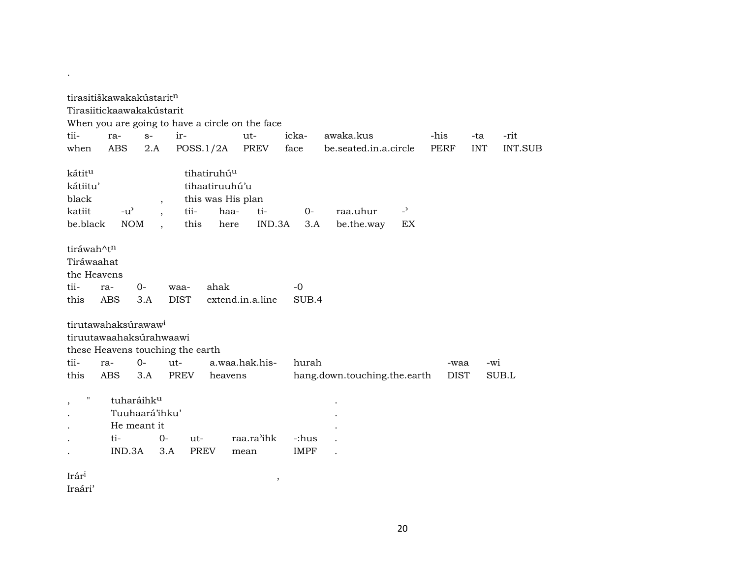|                                                               | tirasitiškawakakústarit <sup>n</sup>                                                                                |                                                             |                |                                                                                |                                                 |                      |                              |                      |                     |            |         |
|---------------------------------------------------------------|---------------------------------------------------------------------------------------------------------------------|-------------------------------------------------------------|----------------|--------------------------------------------------------------------------------|-------------------------------------------------|----------------------|------------------------------|----------------------|---------------------|------------|---------|
|                                                               | Tirasiitickaawakakústarit                                                                                           |                                                             |                |                                                                                |                                                 |                      |                              |                      |                     |            |         |
|                                                               |                                                                                                                     |                                                             |                |                                                                                | When you are going to have a circle on the face |                      |                              |                      |                     |            |         |
| tii-                                                          | ra-                                                                                                                 | $S-$                                                        | ir-            |                                                                                | ut-                                             | icka-                | awaka.kus                    |                      | -his                | -ta        | -rit    |
| when                                                          | <b>ABS</b>                                                                                                          | 2.A                                                         | POSS.1/2A      |                                                                                | PREV                                            | face                 | be.seated.in.a.circle        |                      | <b>PERF</b>         | <b>INT</b> | INT.SUB |
| kátit <sup>u</sup><br>kátiitu'<br>black<br>katiit<br>be.black | $-u^{\prime}$<br><b>NOM</b>                                                                                         | $\cdot$<br>$\overline{\phantom{a}}$<br>$\ddot{\phantom{0}}$ | tii-<br>this   | tihatiruhú <sup>u</sup><br>tihaatiruuhú'u<br>this was His plan<br>haa-<br>here | ti-<br>IND.3A                                   | $0-$<br>3.A          | raa.uhur<br>be.the.way       | $\overline{a}$<br>EX |                     |            |         |
| tiráwah^tn<br>Tiráwaahat<br>the Heavens                       |                                                                                                                     |                                                             |                |                                                                                |                                                 |                      |                              |                      |                     |            |         |
| tii-                                                          | ra-                                                                                                                 | $0-$                                                        | waa-           | ahak                                                                           |                                                 | $-0$                 |                              |                      |                     |            |         |
| this                                                          | <b>ABS</b>                                                                                                          | 3.A                                                         | <b>DIST</b>    |                                                                                | extend.in.a.line                                | SUB.4                |                              |                      |                     |            |         |
| tii-<br>this                                                  | tirutawahaksúrawaw <sup>i</sup><br>tiruutawaahaksúrahwaawi<br>these Heavens touching the earth<br>ra-<br><b>ABS</b> | $O -$<br>3.A                                                | $ut -$<br>PREV | heavens                                                                        | a.waa.hak.his-                                  | hurah                | hang.down.touching.the.earth |                      | -waa<br><b>DIST</b> | -wi        | SUB.L   |
| $\pmb{\mathsf{H}}$<br>,                                       | ti-<br>IND.3A                                                                                                       | tuharáihku<br>Tuuhaará'ihku'<br>He meant it<br>$0-$<br>3.A  | ut-<br>PREV    |                                                                                | raa.ra'ihk<br>mean                              | -:hus<br><b>IMPF</b> |                              |                      |                     |            |         |
| Irár <sup>i</sup>                                             |                                                                                                                     |                                                             |                |                                                                                | $\cdot$                                         |                      |                              |                      |                     |            |         |

Iraári'

.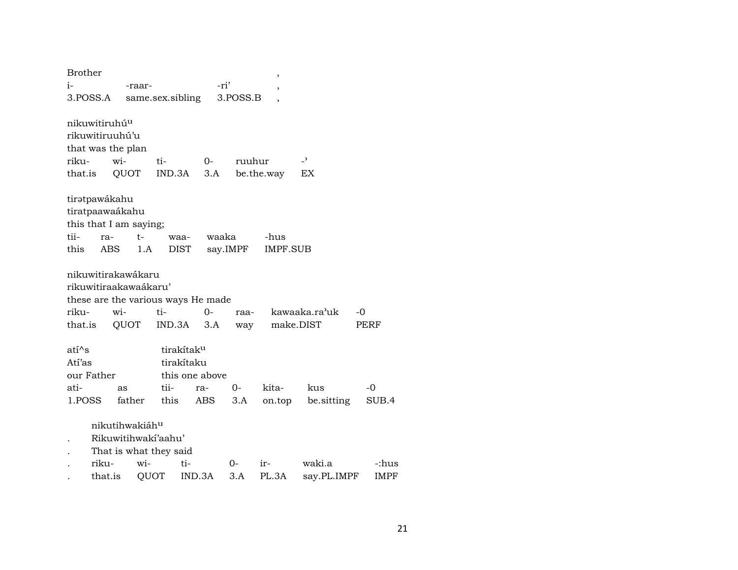| <b>Brother</b>                                               |                  |                                                    |                                                      |                                          |             | ,                       |                          |               |
|--------------------------------------------------------------|------------------|----------------------------------------------------|------------------------------------------------------|------------------------------------------|-------------|-------------------------|--------------------------|---------------|
| i-                                                           |                  | -raar-                                             |                                                      |                                          | -ri'        |                         |                          |               |
| 3.POSS.A                                                     |                  |                                                    | same.sex.sibling                                     |                                          | 3.POSS.B    |                         |                          |               |
| nikuwitiruhú <sup>u</sup><br>rikuwitiruuhú'u<br>riku-        | wi-              | that was the plan                                  | ti-                                                  | $0-$                                     | ruuhur      |                         | $\overline{\phantom{a}}$ |               |
| that.is                                                      |                  | QUOT                                               | IND.3A                                               | 3.A                                      |             | be.the.way              | EX                       |               |
| tirətpawákahu<br>tiratpaawaákahu<br>tii-<br>this             | ra-<br>ABS       | this that I am saying;<br>t-<br>1.A                | waa-<br><b>DIST</b>                                  | waaka                                    | say.IMPF    | -hus<br><b>IMPF.SUB</b> |                          |               |
| riku-                                                        |                  | nikuwitirakawákaru<br>rikuwitiraakawaákaru'<br>wi- | $ti-$                                                | these are the various ways He made<br>0- | raa-        |                         | kawaaka.ra'uk            | -0            |
| that.is                                                      |                  | QUOT                                               | IND.3A                                               | 3.A                                      | way         | make.DIST               |                          | PERF          |
| ati <sup>^</sup> s<br>Atí'as<br>our Father<br>ati-<br>1.POSS |                  | as<br>father                                       | tirakítak <sup>u</sup><br>tirakítaku<br>tii-<br>this | this one above<br>ra-<br>ABS             | $0-$<br>3.A | kita-<br>on.top         | kus<br>be.sitting        | -0<br>SUB.4   |
|                                                              |                  | nikutihwakiáh <sup>u</sup>                         | Rikuwitihwaki'aahu'<br>That is what they said        |                                          |             |                         |                          |               |
|                                                              | riku-<br>that.is | wi-<br>QUOT                                        | ti-                                                  | IND.3A                                   | 0-<br>3.A   | $ir-$<br>PL.3A          | waki.a<br>say.PL.IMPF    | -:hus<br>IMPF |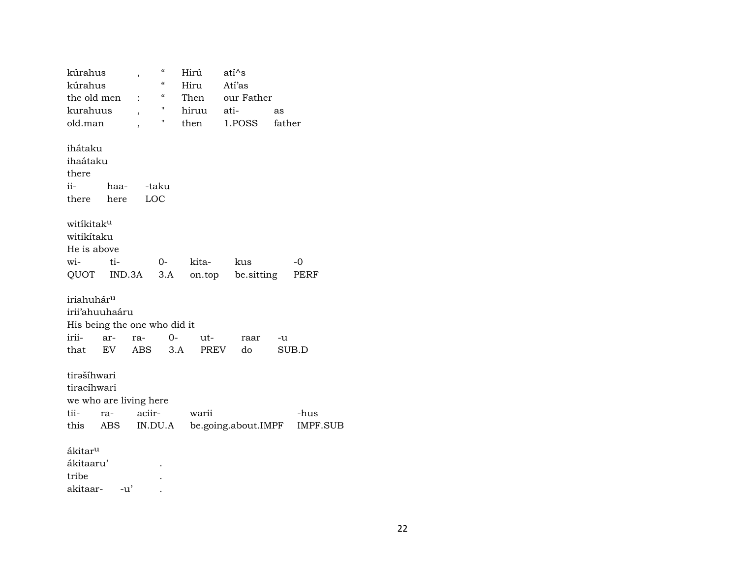| kúrahus                |                              | ,              | $\boldsymbol{\zeta}\boldsymbol{\zeta}$ | Hirú  | ati^s               |        |                 |
|------------------------|------------------------------|----------------|----------------------------------------|-------|---------------------|--------|-----------------|
| kúrahus                |                              |                | $\pmb{\zeta}\pmb{\zeta}$               | Hiru  | Atí'as              |        |                 |
| the old men            |                              | $\ddot{\cdot}$ | $\boldsymbol{\zeta}\boldsymbol{\zeta}$ | Then  | our Father          |        |                 |
| kurahuus               |                              | ,              | Н                                      | hiruu | ati-                | as     |                 |
| old.man                |                              | ,              | Π                                      | then  | 1.POSS              | father |                 |
| ihátaku                |                              |                |                                        |       |                     |        |                 |
| ihaátaku               |                              |                |                                        |       |                     |        |                 |
| there                  |                              |                |                                        |       |                     |        |                 |
| ii-                    | haa-                         |                | -taku                                  |       |                     |        |                 |
| there                  | here                         | LOC            |                                        |       |                     |        |                 |
| witikitaku             |                              |                |                                        |       |                     |        |                 |
| witikítaku             |                              |                |                                        |       |                     |        |                 |
| He is above            |                              |                |                                        |       |                     |        |                 |
| wi-                    | ti-                          |                | $O-$                                   | kita- | kus                 |        | -0              |
|                        | QUOT IND.3A                  |                | 3.A                                    |       | on.top be.sitting   |        | PERF            |
| iriahuhár <sup>u</sup> |                              |                |                                        |       |                     |        |                 |
| irii'ahuuhaáru         |                              |                |                                        |       |                     |        |                 |
|                        | His being the one who did it |                |                                        |       |                     |        |                 |
| irii-                  | ar-                          | ra-            | $O -$                                  | ut-   | raar                | -u     |                 |
| that                   | EV                           | ABS            | 3.A                                    | PREV  | do                  |        | SUB.D           |
| tirašíhwari            |                              |                |                                        |       |                     |        |                 |
| tiracíhwari            |                              |                |                                        |       |                     |        |                 |
|                        | we who are living here       |                |                                        |       |                     |        |                 |
| tii-                   | ra-                          | aciir-         |                                        | warii |                     |        | -hus            |
| this                   | ABS                          |                | IN.DU.A                                |       | be.going.about.IMPF |        | <b>IMPF.SUB</b> |
| ákitar <sup>u</sup>    |                              |                |                                        |       |                     |        |                 |
| ákitaaru'              |                              |                |                                        |       |                     |        |                 |
| tribe                  |                              |                |                                        |       |                     |        |                 |
| akitaar-               |                              | -u'            |                                        |       |                     |        |                 |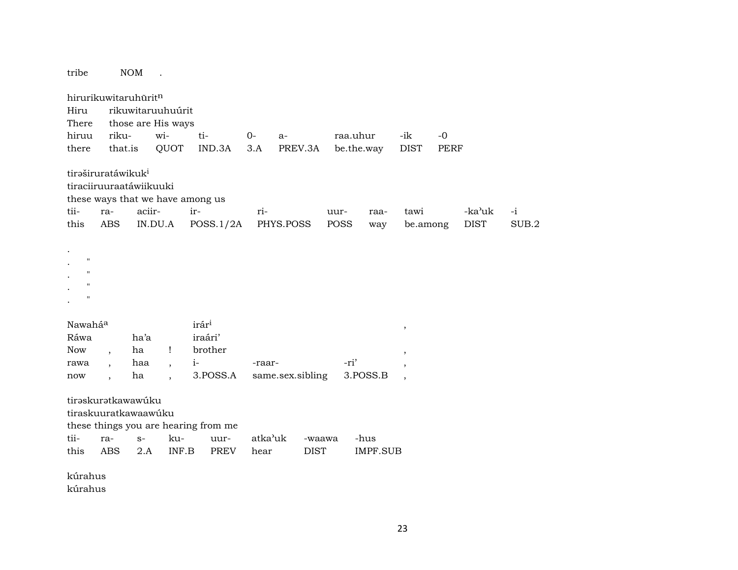| tribe                                                                                        |                                                           | <b>NOM</b>        | $\ddot{\phantom{a}}$     |                                                 |         |                  |          |            |                          |      |             |       |
|----------------------------------------------------------------------------------------------|-----------------------------------------------------------|-------------------|--------------------------|-------------------------------------------------|---------|------------------|----------|------------|--------------------------|------|-------------|-------|
|                                                                                              | hirurikuwitaruhūritn                                      |                   |                          |                                                 |         |                  |          |            |                          |      |             |       |
| Hiru                                                                                         |                                                           |                   | rikuwitaruuhuúrit        |                                                 |         |                  |          |            |                          |      |             |       |
| There                                                                                        |                                                           |                   | those are His ways       |                                                 |         |                  |          |            |                          |      |             |       |
| hiruu                                                                                        | riku-                                                     |                   | wi-                      | ti-                                             | $0-$    | a-               | raa.uhur |            | -ik                      | $-0$ |             |       |
| there                                                                                        | that.is                                                   |                   | QUOT                     | IND.3A                                          | 3.A     | PREV.3A          |          | be.the.way | <b>DIST</b>              | PERF |             |       |
|                                                                                              |                                                           |                   |                          |                                                 |         |                  |          |            |                          |      |             |       |
|                                                                                              | tiraširuratáwikuk <sup>i</sup><br>tiraciiruuraatáwiikuuki |                   |                          | these ways that we have among us                |         |                  |          |            |                          |      |             |       |
| tii-                                                                                         | ra-                                                       | aciir-            |                          | ir-                                             | ri-     |                  | uur-     | raa-       | tawi                     |      | -ka'uk      | $-i$  |
| this                                                                                         | <b>ABS</b>                                                |                   | IN.DU.A                  | POSS.1/2A                                       |         | PHYS.POSS        | POSS     | way        | be.among                 |      | <b>DIST</b> | SUB.2 |
| $\mathbf{H}$<br>$\mathbf H$<br>$\mathbf H$<br>$\mathbf{H}$<br>Nawaháa<br>Ráwa<br>Now<br>rawa | $\overline{ }$                                            | ha'a<br>ha<br>haa | Ţ                        | irár <sup>i</sup><br>iraári'<br>brother<br>$i-$ | -raar-  |                  | -ri'     |            | $\, ,$<br>$\,$           |      |             |       |
|                                                                                              |                                                           |                   | $\overline{\phantom{a}}$ |                                                 |         |                  |          |            | $\,$                     |      |             |       |
| now                                                                                          | $\overline{\phantom{a}}$<br>tirəskurətkawawúku            | ha                | $\overline{\phantom{a}}$ | 3.POSS.A                                        |         | same.sex.sibling |          | 3.POSS.B   | $\overline{\phantom{a}}$ |      |             |       |
|                                                                                              | tiraskuuratkawaawúku                                      |                   |                          |                                                 |         |                  |          |            |                          |      |             |       |
|                                                                                              |                                                           |                   |                          |                                                 |         |                  |          |            |                          |      |             |       |
|                                                                                              |                                                           |                   |                          | these things you are hearing from me            |         |                  |          |            |                          |      |             |       |
| tii-                                                                                         | ra-                                                       | $S-$              | ku-                      | uur-                                            | atka'uk |                  | -waawa   | -hus       |                          |      |             |       |
| this                                                                                         | <b>ABS</b>                                                | 2.A               | INF.B                    | <b>PREV</b>                                     | hear    | <b>DIST</b>      |          | IMPF.SUB   |                          |      |             |       |
| kúrahus<br>kúrahus                                                                           |                                                           |                   |                          |                                                 |         |                  |          |            |                          |      |             |       |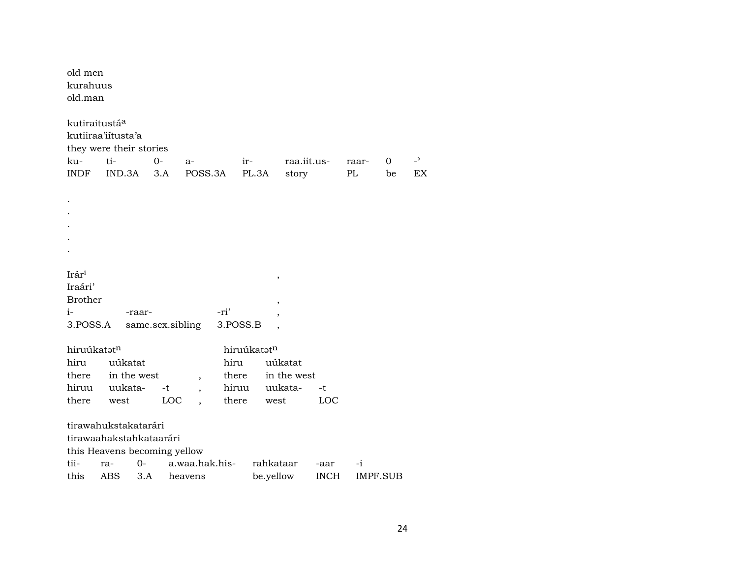| old men<br>kurahuus<br>old.man |                                               |             |                                |          |             |                      |             |             |         |                |
|--------------------------------|-----------------------------------------------|-------------|--------------------------------|----------|-------------|----------------------|-------------|-------------|---------|----------------|
| kutiraitustáa                  | kutiiraa'iitusta'a<br>they were their stories |             |                                |          |             |                      |             |             |         | $\overline{a}$ |
| ku-<br><b>INDF</b>             | ti-<br>IND.3A                                 | $0-$<br>3.A | a-<br>POSS.3A                  | ir-      | PL.3A       | raa.iit.us-<br>story |             | raar-<br>PL | 0<br>be | EX             |
|                                |                                               |             |                                |          |             |                      |             |             |         |                |
|                                |                                               |             |                                |          |             |                      |             |             |         |                |
|                                |                                               |             |                                |          |             |                      |             |             |         |                |
|                                |                                               |             |                                |          |             |                      |             |             |         |                |
|                                |                                               |             |                                |          |             |                      |             |             |         |                |
|                                |                                               |             |                                |          |             |                      |             |             |         |                |
|                                |                                               |             |                                |          |             |                      |             |             |         |                |
| Irár <sup>i</sup>              |                                               |             |                                |          | $\,$        |                      |             |             |         |                |
| Iraári'                        |                                               |             |                                |          |             |                      |             |             |         |                |
| <b>Brother</b>                 |                                               |             |                                |          |             |                      |             |             |         |                |
| $i-$                           |                                               | -raar-      |                                | -ri'     |             |                      |             |             |         |                |
| 3.POSS.A                       |                                               |             | same.sex.sibling               | 3.POSS.B |             |                      |             |             |         |                |
| hiruúkatatn                    |                                               |             |                                |          | hiruúkatatn |                      |             |             |         |                |
| hiru                           | uúkatat                                       |             |                                | hiru     |             | uúkatat              |             |             |         |                |
|                                | there in the west                             |             |                                | there    |             | in the west          |             |             |         |                |
|                                | hiruu uukata-                                 |             | $\overline{\phantom{a}}$<br>-t | hiruu    |             | uukata-              | -t          |             |         |                |
| there                          | west                                          |             | <b>LOC</b>                     | there    | west        |                      | LOC         |             |         |                |
|                                |                                               |             |                                |          |             |                      |             |             |         |                |
|                                | tirawahukstakatarári                          |             |                                |          |             |                      |             |             |         |                |
|                                | tirawaahakstahkataarári                       |             |                                |          |             |                      |             |             |         |                |
|                                |                                               |             | this Heavens becoming yellow   |          |             |                      |             |             |         |                |
| tii-                           | ra-                                           | $O -$       | a.waa.hak.his-                 |          | rahkataar   |                      | -aar        | -i          |         |                |
| this                           | ABS                                           | 3.A         | heavens                        |          | be.yellow   |                      | <b>INCH</b> | IMPF.SUB    |         |                |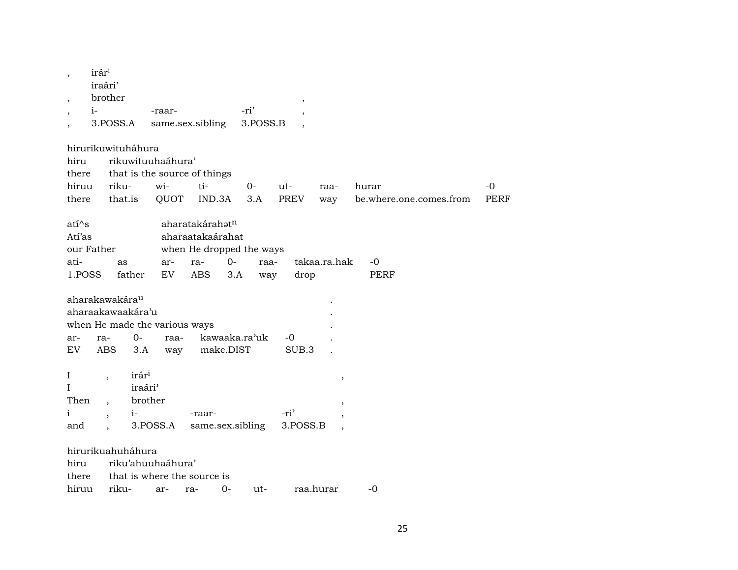| $\cdot$      | irár <sup>i</sup><br>iraári' |                     |                               |                          |           |               |                  |              |                         |             |
|--------------|------------------------------|---------------------|-------------------------------|--------------------------|-----------|---------------|------------------|--------------|-------------------------|-------------|
|              | brother                      |                     |                               |                          |           |               | $\, ,$           |              |                         |             |
| $i-$         |                              |                     | -raar-                        |                          |           | -ri'          |                  |              |                         |             |
|              | 3.POSS.A                     |                     | same.sex.sibling              |                          |           | 3.POSS.B      |                  |              |                         |             |
|              | hirurikuwituháhura           |                     |                               |                          |           |               |                  |              |                         |             |
| hiru         |                              |                     | rikuwituuhaáhura'             |                          |           |               |                  |              |                         |             |
| there        |                              |                     | that is the source of things  |                          |           |               |                  |              |                         |             |
| hiruu        | riku-                        |                     | wi-                           | ti-                      |           | $0-$          | ut-              | raa-         | hurar                   | $-0$        |
| there        | that.is                      |                     | QUOT                          | IND.3A                   |           | 3.A           | PREV             | way          | be.where.one.comes.from | <b>PERF</b> |
| $ati^s$      |                              |                     |                               | aharatakárahatn          |           |               |                  |              |                         |             |
| Atí'as       |                              |                     |                               | aharaatakaárahat         |           |               |                  |              |                         |             |
| our Father   |                              |                     |                               | when He dropped the ways |           |               |                  |              |                         |             |
| ati-         | as                           |                     | ar-                           | ra-                      | $0-$      | raa-          |                  | takaa.ra.hak | -0                      |             |
| 1.POSS       |                              | father              | EV                            | <b>ABS</b>               | 3.A       | way           | drop             |              | PERF                    |             |
|              |                              |                     |                               |                          |           |               |                  |              |                         |             |
|              | aharakawakára <sup>u</sup>   |                     |                               |                          |           |               |                  |              |                         |             |
|              | aharaakawaakára'u            |                     |                               |                          |           |               |                  |              |                         |             |
|              |                              |                     | when He made the various ways |                          |           |               |                  |              |                         |             |
| ar-          | ra-                          | $0-$                | raa-                          |                          |           | kawaaka.ra'uk | -0               |              |                         |             |
| EV           | <b>ABS</b>                   | 3.A                 | way                           |                          | make.DIST |               | SUB.3            |              |                         |             |
| I            | $\overline{\phantom{a}}$     | irári               |                               |                          |           |               |                  | $\, ,$       |                         |             |
| I            |                              | iraári <sup>3</sup> |                               |                          |           |               |                  |              |                         |             |
| Then         | $\ddot{\phantom{0}}$         | brother             |                               |                          |           |               |                  | $\cdot$      |                         |             |
| $\mathbf{i}$ |                              | $i-$                |                               | -raar-                   |           |               | -ri <sup>3</sup> |              |                         |             |
| and          |                              | 3.POSS.A            |                               | same.sex.sibling         |           |               | 3.POSS.B         |              |                         |             |
|              | hirurikuahuháhura            |                     |                               |                          |           |               |                  |              |                         |             |
| hiru         |                              |                     | riku'ahuuhaáhura'             |                          |           |               |                  |              |                         |             |
| there        |                              |                     | that is where the source is   |                          |           |               |                  |              |                         |             |
| hiruu        | riku-                        |                     | ar-                           | ra-                      | $O -$     | ut-           |                  | raa.hurar    | -0                      |             |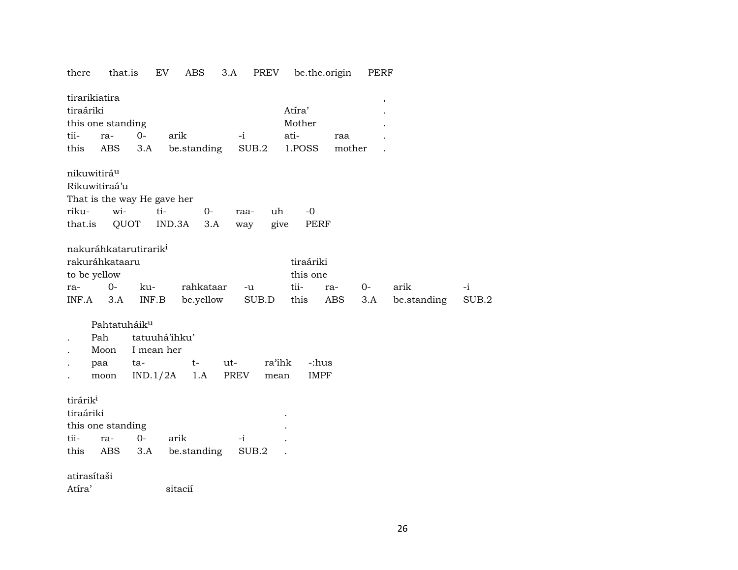|  |  |  | there that.is EV ABS 3.A PREV be.the.origin PERF |  |
|--|--|--|--------------------------------------------------|--|
|  |  |  |                                                  |  |

| tirarikiatira<br>tiraáriki |                          |                                   |                             |               | Atíra'              |               | $\, ,$      |       |
|----------------------------|--------------------------|-----------------------------------|-----------------------------|---------------|---------------------|---------------|-------------|-------|
| tii-                       | this one standing        | $O -$                             |                             | $-i$          | Mother<br>ati-      |               |             |       |
| this                       | ra-<br><b>ABS</b>        | 3.A                               | arik<br>be.standing         | SUB.2         | 1.POSS              | raa<br>mother |             |       |
|                            |                          |                                   |                             |               |                     |               |             |       |
| nikuwitirá <sup>u</sup>    |                          |                                   |                             |               |                     |               |             |       |
|                            | Rikuwitiraá'u            |                                   |                             |               |                     |               |             |       |
|                            |                          |                                   | That is the way He gave her |               |                     |               |             |       |
| riku-                      | wi-                      |                                   | ti-<br>$0-$                 | raa-          | uh<br>$-0$          |               |             |       |
| that.is                    | QUOT                     |                                   | IND.3A                      | 3.A<br>way    | give<br><b>PERF</b> |               |             |       |
|                            |                          | nakuráhkatarutirarik <sup>i</sup> |                             |               |                     |               |             |       |
|                            | rakuráhkataaru           |                                   |                             |               | tiraáriki           |               |             |       |
| to be yellow               |                          |                                   |                             |               | this one            |               |             |       |
| ra-                        | $0-$                     | ku-                               | rahkataar                   | -u            | tii-                | 0-<br>ra-     | arik        | $-i$  |
| INF.A                      | 3.A                      | INF.B                             | be.yellow                   | SUB.D         | this                | ABS<br>3.A    | be.standing | SUB.2 |
|                            | Pahtatuháik <sup>u</sup> |                                   |                             |               |                     |               |             |       |
|                            | Pah                      |                                   | tatuuhá'ihku'               |               |                     |               |             |       |
|                            | Moon                     | I mean her                        |                             |               |                     |               |             |       |
|                            | paa                      | ta-                               | $t-$                        | ut-           | ra'ihk<br>-:hus     |               |             |       |
|                            | moon                     | IND.1/2A                          | 1.A                         | PREV          | <b>IMPF</b><br>mean |               |             |       |
|                            |                          |                                   |                             |               |                     |               |             |       |
| tirárik <sup>i</sup>       |                          |                                   |                             |               |                     |               |             |       |
| tiraáriki                  |                          |                                   |                             |               |                     |               |             |       |
| tii-                       | this one standing        | $0-$                              | arik                        |               |                     |               |             |       |
| this                       | ra-<br>ABS               | 3.A                               | be.standing                 | $-i$<br>SUB.2 |                     |               |             |       |
|                            |                          |                                   |                             |               |                     |               |             |       |
| atirasítaši                |                          |                                   |                             |               |                     |               |             |       |
| Atíra'                     |                          |                                   | sitacií                     |               |                     |               |             |       |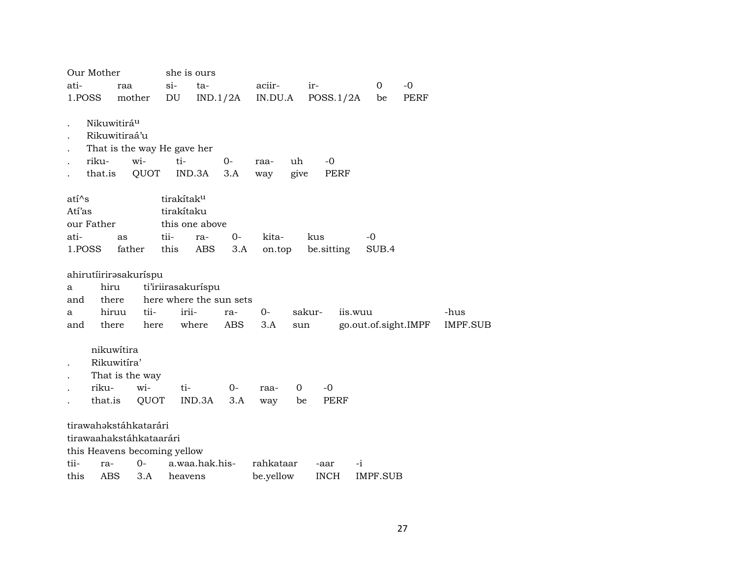| Our Mother       |                                                                                        | she is ours            |                         |             |            |                     |                       |             |                 |
|------------------|----------------------------------------------------------------------------------------|------------------------|-------------------------|-------------|------------|---------------------|-----------------------|-------------|-----------------|
| ati-             | raa                                                                                    | si-                    | ta-                     | aciir-      | ir-        |                     | $\mathbf 0$           | $-0$        |                 |
| 1.POSS           | mother                                                                                 | DU                     | IND.1/2A                | IN.DU.A     |            | POSS.1/2A           | be                    | <b>PERF</b> |                 |
| riku-<br>that.is | Nikuwitirá <sup>u</sup><br>Rikuwitiraá'u<br>That is the way He gave her<br>wi-<br>QUOT | ti-<br>IND.3A          | $0-$<br>3.A             | raa-<br>way | uh<br>give | $-0$<br>PERF        |                       |             |                 |
| atí^s            |                                                                                        | tirakítak <sup>u</sup> |                         |             |            |                     |                       |             |                 |
| Atí'as           |                                                                                        | tirakítaku             |                         |             |            |                     |                       |             |                 |
| our Father       |                                                                                        | this one above         |                         |             |            |                     |                       |             |                 |
| ati-             | as                                                                                     | tii-                   | $0-$<br>ra-             | kita-       | kus        |                     | -0                    |             |                 |
| 1.POSS           | father                                                                                 | this                   | ABS<br>3.A              | on.top      |            | be sitting          | SUB.4                 |             |                 |
|                  | ahirutíirirasakuríspu                                                                  |                        |                         |             |            |                     |                       |             |                 |
| a                | hiru                                                                                   | ti'iriirasakuríspu     |                         |             |            |                     |                       |             |                 |
| and              | there                                                                                  |                        | here where the sun sets |             |            |                     |                       |             |                 |
| a                | tii-<br>hiruu                                                                          | irii-                  | ra-                     | $0-$        | sakur-     | iis.wuu             |                       |             | -hus            |
| and              | there                                                                                  | here                   | where<br>ABS            | 3.A         | sun        |                     | go.out.of.sight.IMPF  |             | <b>IMPF.SUB</b> |
| riku-            | nikuwítira<br>Rikuwitíra'<br>That is the way<br>wi-<br>that.is<br>QUOT                 | ti-                    | $0-$<br>IND.3A<br>3.A   | raa-<br>way | 0<br>be    | $-0$<br><b>PERF</b> |                       |             |                 |
|                  | tirawahəkstáhkatarári<br>tirawaahakstáhkataarári                                       |                        |                         |             |            |                     |                       |             |                 |
| tii-             | this Heavens becoming yellow                                                           |                        |                         |             |            |                     |                       |             |                 |
| this             | $O -$<br>ra-<br>ABS<br>3.A                                                             | heavens                | a.waa.hak.his-          | rahkataar   |            | -aar<br><b>INCH</b> | -i<br><b>IMPF.SUB</b> |             |                 |
|                  |                                                                                        |                        |                         | be.yellow   |            |                     |                       |             |                 |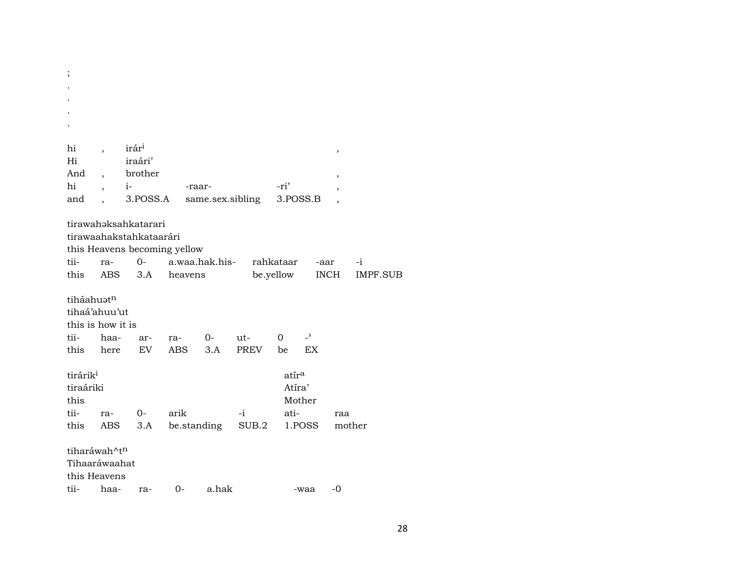| hi                   |      | irár <sup>i</sup>            |             |                  |             |                   |                          | $\,$        |          |
|----------------------|------|------------------------------|-------------|------------------|-------------|-------------------|--------------------------|-------------|----------|
| Hi                   |      | iraári'                      |             |                  |             |                   |                          |             |          |
| And                  |      | brother                      |             |                  |             |                   |                          | ,           |          |
| hi                   |      | $i-$                         | -raar-      |                  |             | -ri'              |                          | ,           |          |
| and                  |      | 3.POSS.A                     |             | same.sex.sibling |             | 3.POSS.B          |                          |             |          |
|                      |      | tirawahəksahkatarari         |             |                  |             |                   |                          |             |          |
|                      |      | tirawaahakstahkataarári      |             |                  |             |                   |                          |             |          |
|                      |      | this Heavens becoming yellow |             |                  |             |                   |                          |             |          |
| tii-                 | ra-  | $O -$                        |             | a.waa.hak.his-   |             | rahkataar         |                          | -aar        | $-i$     |
| this                 | ABS  | 3.A                          | heavens     |                  |             | be.yellow         |                          | <b>INCH</b> | IMPF.SUB |
|                      |      |                              |             |                  |             |                   |                          |             |          |
| tiháahuatn           |      |                              |             |                  |             |                   |                          |             |          |
| tihaá'ahuu'ut        |      |                              |             |                  |             |                   |                          |             |          |
| this is how it is    |      |                              |             |                  |             |                   |                          |             |          |
| tii-                 | haa- | ar-                          | ra-         | 0-               | ut-         | 0                 | $\overline{\phantom{a}}$ |             |          |
| this                 | here | <b>EV</b>                    | <b>ABS</b>  | 3.A              | <b>PREV</b> | be                | EX                       |             |          |
|                      |      |                              |             |                  |             |                   |                          |             |          |
| tirárik <sup>i</sup> |      |                              |             |                  |             | atír <sup>a</sup> |                          |             |          |
| tiraáriki            |      |                              |             |                  |             | Atíra'            |                          |             |          |
| this                 |      |                              |             |                  |             |                   | Mother                   |             |          |
| tii-                 | ra-  | $0 -$                        | arik        |                  | -i          | ati-              |                          | raa         |          |
| this                 | ABS  | 3.A                          | be.standing |                  | SUB.2       |                   | 1.POSS                   | mother      |          |
|                      |      |                              |             |                  |             |                   |                          |             |          |
| tiharáwah^tn         |      |                              |             |                  |             |                   |                          |             |          |
| Tihaaráwaahat        |      |                              |             |                  |             |                   |                          |             |          |
| this Heavens         |      |                              |             |                  |             |                   |                          |             |          |
| tii-                 | haa- | ra-                          | 0-          | a.hak            |             |                   | -waa                     | -0          |          |

 $\ddot{ }$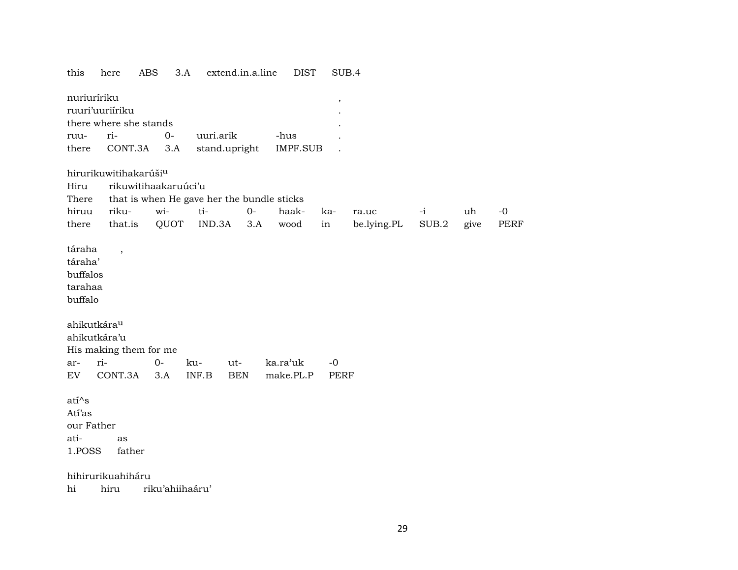| this                    | here                              | <b>ABS</b>           | 3.A       | extend.in.a.line | <b>DIST</b>                                | SUB.4       |             |       |      |      |
|-------------------------|-----------------------------------|----------------------|-----------|------------------|--------------------------------------------|-------------|-------------|-------|------|------|
| nuriuríriku             |                                   |                      |           |                  |                                            | $\, ,$      |             |       |      |      |
|                         | ruuri'uuriíriku                   |                      |           |                  |                                            |             |             |       |      |      |
|                         | there where she stands            |                      |           |                  |                                            |             |             |       |      |      |
| ruu-                    | ri-                               | $0 -$                | uuri.arik |                  | -hus                                       |             |             |       |      |      |
| there                   | CONT.3A                           | 3.A                  |           | stand.upright    | <b>IMPF.SUB</b>                            |             |             |       |      |      |
|                         | hirurikuwitihakarúši <sup>u</sup> |                      |           |                  |                                            |             |             |       |      |      |
| Hiru                    |                                   | rikuwitihaakaruúci'u |           |                  |                                            |             |             |       |      |      |
| There                   |                                   |                      |           |                  | that is when He gave her the bundle sticks |             |             |       |      |      |
| hiruu                   | riku-                             | wi-                  | ti-       | $O -$            | haak-                                      | ka-         | ra.uc       | $-i$  | uh   | $-0$ |
| there                   | that.is                           | QUOT                 | IND.3A    | 3.A              | wood                                       | in          | be.lying.PL | SUB.2 | give | PERF |
|                         |                                   |                      |           |                  |                                            |             |             |       |      |      |
| táraha                  | $\overline{\phantom{a}}$          |                      |           |                  |                                            |             |             |       |      |      |
| táraha'                 |                                   |                      |           |                  |                                            |             |             |       |      |      |
| buffalos                |                                   |                      |           |                  |                                            |             |             |       |      |      |
| tarahaa<br>buffalo      |                                   |                      |           |                  |                                            |             |             |       |      |      |
|                         |                                   |                      |           |                  |                                            |             |             |       |      |      |
| ahikutkára <sup>u</sup> |                                   |                      |           |                  |                                            |             |             |       |      |      |
|                         | ahikutkára'u                      |                      |           |                  |                                            |             |             |       |      |      |
|                         | His making them for me            |                      |           |                  |                                            |             |             |       |      |      |
| ar-                     | ri-                               | $0-$                 | ku-       | ut-              | ka.ra'uk                                   | $-0$        |             |       |      |      |
| EV                      | CONT.3A                           | 3.A                  | INF.B     | <b>BEN</b>       | make.PL.P                                  | <b>PERF</b> |             |       |      |      |
|                         |                                   |                      |           |                  |                                            |             |             |       |      |      |
| $ati^s$                 |                                   |                      |           |                  |                                            |             |             |       |      |      |
| Atí'as                  |                                   |                      |           |                  |                                            |             |             |       |      |      |
| our Father              |                                   |                      |           |                  |                                            |             |             |       |      |      |
| ati-                    | as                                |                      |           |                  |                                            |             |             |       |      |      |
| 1.POSS                  | father                            |                      |           |                  |                                            |             |             |       |      |      |
|                         | hihirurikuahiháru                 |                      |           |                  |                                            |             |             |       |      |      |

hi hiru riku'ahiihaáru'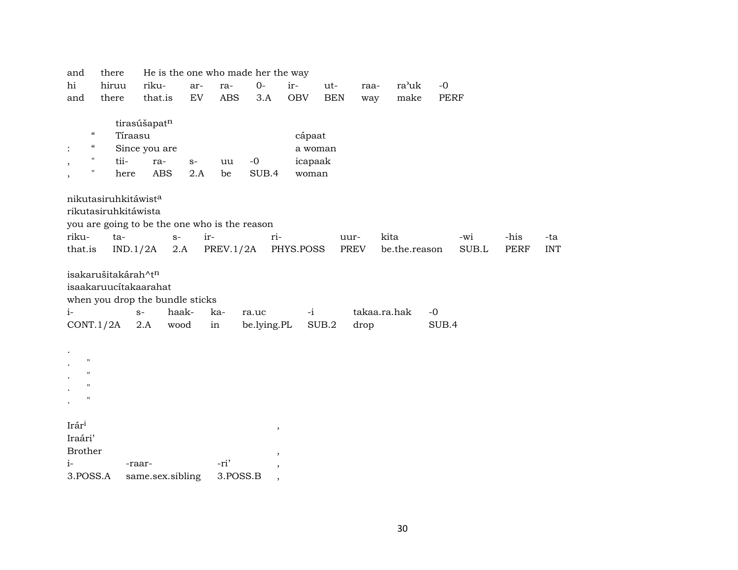| and               | there                                         |                  |            |      |            | He is the one who made her the way |            |            |      |               |             |       |             |            |
|-------------------|-----------------------------------------------|------------------|------------|------|------------|------------------------------------|------------|------------|------|---------------|-------------|-------|-------------|------------|
| hi                | hiruu                                         | riku-            |            | ar-  | ra-        | $0-$                               | ir-        | ut-        | raa- | ra'uk         | $-0$        |       |             |            |
| and               | there                                         | that.is          |            | EV   | <b>ABS</b> | 3.A                                | <b>OBV</b> | <b>BEN</b> | way  | make          | <b>PERF</b> |       |             |            |
|                   |                                               |                  |            |      |            |                                    |            |            |      |               |             |       |             |            |
|                   |                                               | tirasúšapatn     |            |      |            |                                    |            |            |      |               |             |       |             |            |
|                   | $\epsilon\epsilon$                            | Tíraasu          |            |      |            |                                    | cápaat     |            |      |               |             |       |             |            |
|                   | $\epsilon\epsilon$                            | Since you are    |            |      |            |                                    | a woman    |            |      |               |             |       |             |            |
|                   | 11<br>tii-<br>$\pmb{\mathsf{H}}$              | ra-              |            | $S-$ | uu         | $-0$                               | icapaak    |            |      |               |             |       |             |            |
|                   | here                                          |                  | <b>ABS</b> | 2.A  | be         | SUB.4                              | woman      |            |      |               |             |       |             |            |
|                   | nikutasiruhkitáwist <sup>a</sup>              |                  |            |      |            |                                    |            |            |      |               |             |       |             |            |
|                   | rikutasiruhkitáwista                          |                  |            |      |            |                                    |            |            |      |               |             |       |             |            |
|                   | you are going to be the one who is the reason |                  |            |      |            |                                    |            |            |      |               |             |       |             |            |
| riku-             | ta-                                           |                  | $S-$       | ir-  |            | ri-                                |            | uur-       |      | kita          |             | -wi   | -his        | -ta        |
| that.is           |                                               | IND.1/2A         | 2.A        |      | PREV.1/2A  |                                    | PHYS.POSS  |            | PREV | be.the.reason |             | SUB.L | <b>PERF</b> | <b>INT</b> |
|                   |                                               |                  |            |      |            |                                    |            |            |      |               |             |       |             |            |
|                   | isakarušitakárah^tn                           |                  |            |      |            |                                    |            |            |      |               |             |       |             |            |
|                   | isaakaruucítakaarahat                         |                  |            |      |            |                                    |            |            |      |               |             |       |             |            |
|                   | when you drop the bundle sticks               |                  |            |      |            |                                    |            |            |      |               |             |       |             |            |
| $i-$              |                                               | $S-$             | haak-      | ka-  |            | ra.uc                              | $-i$       |            |      | takaa.ra.hak  | $-0$        |       |             |            |
|                   | CONT.1/2A                                     | 2.A              | wood       | in   |            | be.lying.PL                        |            | SUB.2      | drop |               | SUB.4       |       |             |            |
|                   |                                               |                  |            |      |            |                                    |            |            |      |               |             |       |             |            |
|                   |                                               |                  |            |      |            |                                    |            |            |      |               |             |       |             |            |
| $\mathbf{H}$      |                                               |                  |            |      |            |                                    |            |            |      |               |             |       |             |            |
| $\mathbf{H}$      |                                               |                  |            |      |            |                                    |            |            |      |               |             |       |             |            |
| 11                |                                               |                  |            |      |            |                                    |            |            |      |               |             |       |             |            |
| п                 |                                               |                  |            |      |            |                                    |            |            |      |               |             |       |             |            |
|                   |                                               |                  |            |      |            |                                    |            |            |      |               |             |       |             |            |
| Irár <sup>i</sup> |                                               |                  |            |      |            | $\, ,$                             |            |            |      |               |             |       |             |            |
| Iraári'           |                                               |                  |            |      |            |                                    |            |            |      |               |             |       |             |            |
| <b>Brother</b>    |                                               |                  |            |      |            | $\cdot$                            |            |            |      |               |             |       |             |            |
| $i-$              |                                               | -raar-           |            | -ri' |            | ,                                  |            |            |      |               |             |       |             |            |
| 3.POSS.A          |                                               | same.sex.sibling |            |      | 3.POSS.B   | ,                                  |            |            |      |               |             |       |             |            |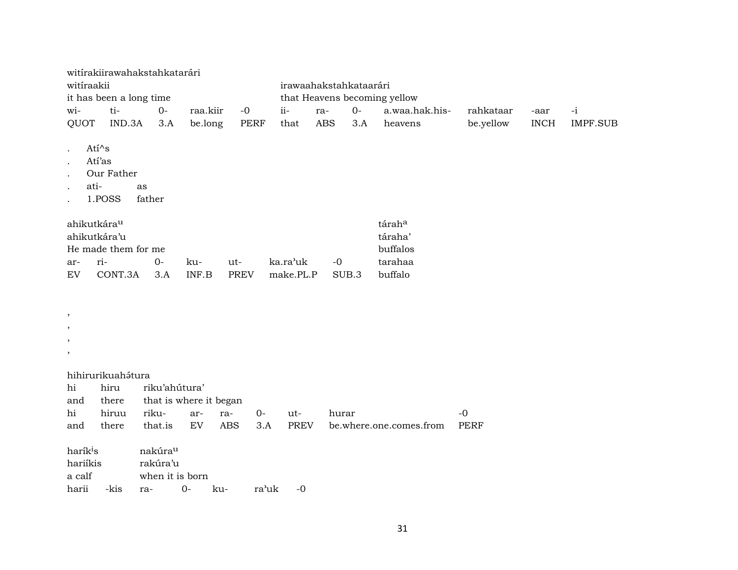|                                                                              | witírakiirawahakstahkatarári            |                                 |                        |             |             |             |                        |       |                               |             |             |                 |
|------------------------------------------------------------------------------|-----------------------------------------|---------------------------------|------------------------|-------------|-------------|-------------|------------------------|-------|-------------------------------|-------------|-------------|-----------------|
| witiraakii                                                                   |                                         |                                 |                        |             |             |             | irawaahakstahkataarári |       |                               |             |             |                 |
|                                                                              | it has been a long time                 |                                 |                        |             |             |             |                        |       | that Heavens becoming yellow  |             |             |                 |
| wi-                                                                          | ti-                                     | $O -$                           |                        | raa.kiir    | $-0$        | $ii -$      | ra-                    | $O -$ | a.waa.hak.his-                | rahkataar   | -aar        | $-i$            |
| QUOT                                                                         | IND.3A                                  |                                 | 3.A                    | be.long     | <b>PERF</b> | that        | <b>ABS</b>             | 3.A   | heavens                       | be.yellow   | <b>INCH</b> | <b>IMPF.SUB</b> |
| $\ddot{\phantom{a}}$<br>$\ddot{\phantom{a}}$<br>$\ddot{\phantom{a}}$<br>ati- | Atí^s<br>Atí'as<br>Our Father<br>1.POSS | as<br>father                    |                        |             |             |             |                        |       |                               |             |             |                 |
| ahikutkára <sup>u</sup>                                                      | ahikutkára'u<br>He made them for me     |                                 |                        |             |             |             |                        |       | táraha<br>táraha'<br>buffalos |             |             |                 |
| ar-                                                                          | ri-                                     | $O -$                           | ku-                    | ut-         |             | ka.ra'uk    | $-0$                   |       | tarahaa                       |             |             |                 |
| EV                                                                           | CONT.3A                                 | 3.A                             | INF.B                  | <b>PREV</b> |             | make.PL.P   |                        | SUB.3 | buffalo                       |             |             |                 |
| $\,$<br>$\,$<br>$\,$<br>$\,$                                                 |                                         |                                 |                        |             |             |             |                        |       |                               |             |             |                 |
|                                                                              | hihirurikuahátura                       |                                 |                        |             |             |             |                        |       |                               |             |             |                 |
| hi                                                                           | hiru                                    |                                 | riku'ahútura'          |             |             |             |                        |       |                               |             |             |                 |
| and                                                                          | there                                   |                                 | that is where it began |             |             |             |                        |       |                               |             |             |                 |
| hi                                                                           | hiruu                                   | riku-                           | ar-                    | ra-         | $O -$       | ut-         | hurar                  |       |                               | $-0$        |             |                 |
| and                                                                          | there                                   | that.is                         | EV                     | <b>ABS</b>  | 3.A         | <b>PREV</b> |                        |       | be.where.one.comes.from       | <b>PERF</b> |             |                 |
| harík <sup>i</sup> s<br>hariíkis<br>a calf                                   |                                         | nakúra <sup>u</sup><br>rakúra'u | when it is born        |             |             |             |                        |       |                               |             |             |                 |
| harii                                                                        | -kis                                    | ra-                             | $0 -$                  | ku-         | ra'uk       | $-0$        |                        |       |                               |             |             |                 |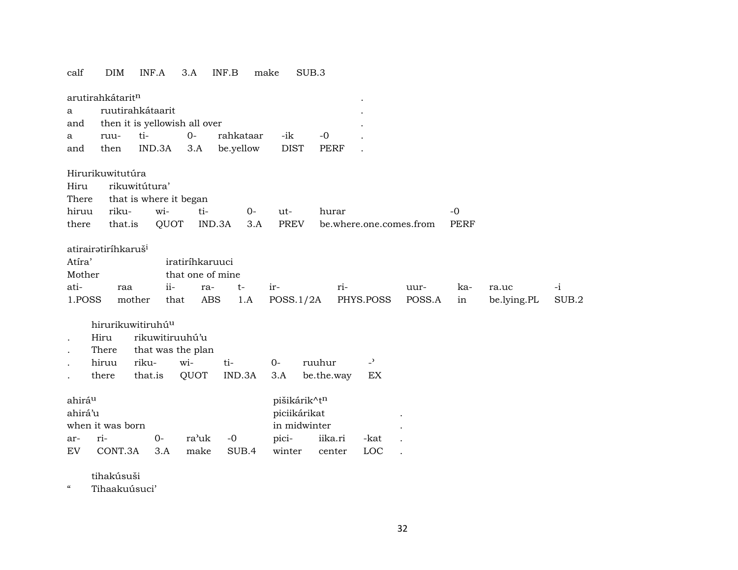## calf DIM INF.A 3.A INF.B make SUB.3

|                      | arutirahkátarit <sup>n</sup>    |                               |                  |               |              |             |                         |        |             |             |       |
|----------------------|---------------------------------|-------------------------------|------------------|---------------|--------------|-------------|-------------------------|--------|-------------|-------------|-------|
| a                    |                                 | ruutirahkátaarit              |                  |               |              |             |                         |        |             |             |       |
| and                  |                                 | then it is yellowish all over |                  |               |              |             |                         |        |             |             |       |
| a                    | ruu-                            | ti-                           | $0-$             | rahkataar     | -ik          | $-0$        |                         |        |             |             |       |
| and                  | then                            | IND.3A                        | 3.A              | be.yellow     | <b>DIST</b>  | <b>PERF</b> |                         |        |             |             |       |
|                      | Hirurikuwitutúra                |                               |                  |               |              |             |                         |        |             |             |       |
| Hiru                 |                                 | rikuwitútura'                 |                  |               |              |             |                         |        |             |             |       |
| There                |                                 | that is where it began        |                  |               |              |             |                         |        |             |             |       |
| hiruu                | riku-                           | wi-                           | ti-              | $O -$         | ut-          | hurar       |                         |        | $-0$        |             |       |
| there                | that.is                         | QUOT                          |                  | IND.3A<br>3.A | <b>PREV</b>  |             | be.where.one.comes.from |        | <b>PERF</b> |             |       |
|                      | atirairatiríhkaruš <sup>i</sup> |                               |                  |               |              |             |                         |        |             |             |       |
| Atíra'               |                                 |                               | iratiríhkaruuci  |               |              |             |                         |        |             |             |       |
| Mother               |                                 |                               | that one of mine |               |              |             |                         |        |             |             |       |
| ati-                 | raa                             | ii-                           | ra-              | $t-$          | ir-          | ri-         |                         | uur-   | ka-         | ra.uc       | $-i$  |
| 1.POSS               |                                 | mother<br>that                | <b>ABS</b>       | 1.A           | POSS.1/2A    |             | PHYS.POSS               | POSS.A | in          | be.lying.PL | SUB.2 |
|                      |                                 |                               |                  |               |              |             |                         |        |             |             |       |
|                      |                                 | hirurikuwitiruhú <sup>u</sup> |                  |               |              |             |                         |        |             |             |       |
| $\ddot{\phantom{a}}$ | Hiru                            | rikuwitiruuhú'u               |                  |               |              |             |                         |        |             |             |       |
|                      | There                           | that was the plan             |                  |               |              |             |                         |        |             |             |       |
|                      | hiruu                           | riku-                         | wi-              | ti-           | $O -$        | ruuhur      | $\overline{a}$          |        |             |             |       |
|                      | there                           | that.is                       | QUOT             | IND.3A        | 3.A          | be.the.way  | ЕX                      |        |             |             |       |
| ahirá <sup>u</sup>   |                                 |                               |                  |               | pišikárik^tn |             |                         |        |             |             |       |
| ahirá'u              |                                 |                               |                  |               | piciikárikat |             |                         |        |             |             |       |
|                      | when it was born                |                               |                  |               | in midwinter |             |                         |        |             |             |       |
|                      | ri-                             | $0-$                          | ra'uk            | $-0$          | pici-        | iika.ri     | -kat                    |        |             |             |       |
| ar-<br>EV            | CONT.3A                         | 3.A                           | make             | SUB.4         | winter       | center      | LOC                     |        |             |             |       |
|                      |                                 |                               |                  |               |              |             |                         |        |             |             |       |

tihakúsuši

" Tihaakuúsuci'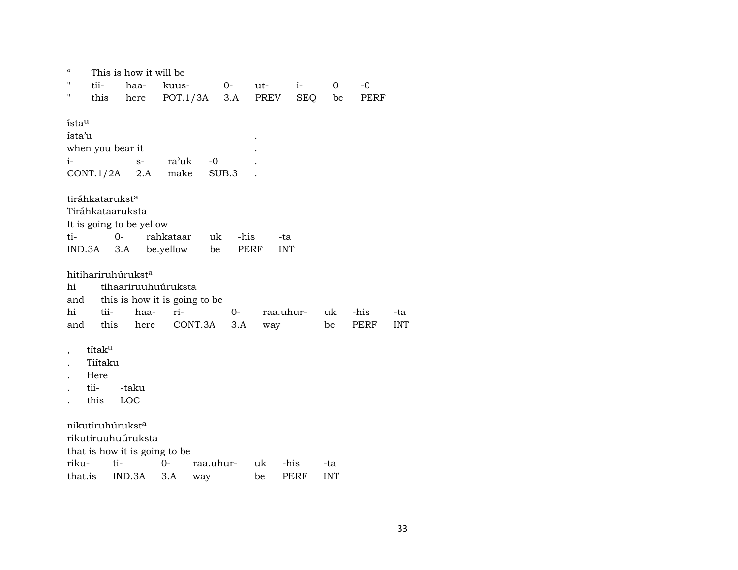| "               |                             | This is how it will be         |                |           |       |        |            |            |      |            |
|-----------------|-----------------------------|--------------------------------|----------------|-----------|-------|--------|------------|------------|------|------------|
|                 | tii-                        | haa-                           | kuus-          |           | $O-$  | $ut$ - | $i-$       | 0          | $-0$ |            |
| н               | this                        | here                           | $POT.1/3A$ 3.A |           |       | PREV   | <b>SEQ</b> | be         | PERF |            |
| ístau<br>ísta'u |                             |                                |                |           |       |        |            |            |      |            |
|                 |                             | when you bear it               |                |           |       |        |            |            |      |            |
| $i-$            |                             | $S-$                           | ra'uk          | $-0$      |       |        |            |            |      |            |
|                 | CONT.1/2A                   | 2.A                            | make           |           | SUB.3 |        |            |            |      |            |
|                 |                             |                                |                |           |       |        |            |            |      |            |
|                 | tiráhkatarukst <sup>a</sup> |                                |                |           |       |        |            |            |      |            |
|                 |                             | Tiráhkataaruksta               |                |           |       |        |            |            |      |            |
|                 |                             | It is going to be yellow       |                |           |       |        |            |            |      |            |
| ti-             |                             | $0-$                           | rahkataar      | uk        | -his  |        | -ta        |            |      |            |
|                 | IND.3A                      | 3.A                            | be.yellow      | be        |       | PERF   | <b>INT</b> |            |      |            |
|                 |                             |                                |                |           |       |        |            |            |      |            |
|                 |                             | hitihariruhúrukst <sup>a</sup> |                |           |       |        |            |            |      |            |
| hi              |                             | tihaariruuhuúruksta            |                |           |       |        |            |            |      |            |
| and             |                             | this is how it is going to be  |                |           |       |        |            |            |      |            |
| hi              | tii-                        | haa-                           | ri-            |           | $O-$  |        | raa.uhur-  | uk         | -his | -ta        |
| and             | this                        | here                           |                | CONT.3A   | 3.A   | way    |            | be         | PERF | <b>INT</b> |
|                 | títaku                      |                                |                |           |       |        |            |            |      |            |
|                 | Tiítaku                     |                                |                |           |       |        |            |            |      |            |
|                 | Here                        |                                |                |           |       |        |            |            |      |            |
|                 | tii-                        | -taku                          |                |           |       |        |            |            |      |            |
|                 | this                        | LOC                            |                |           |       |        |            |            |      |            |
|                 |                             | nikutiruhúrukst <sup>a</sup>   |                |           |       |        |            |            |      |            |
|                 |                             | rikutiruuhuúruksta             |                |           |       |        |            |            |      |            |
|                 |                             | that is how it is going to be  |                |           |       |        |            |            |      |            |
| riku-           |                             | ti-                            | 0-             | raa.uhur- |       | uk     | -his       | -ta        |      |            |
| that.is         |                             | IND.3A                         | 3.A            | way       |       | be     | PERF       | <b>INT</b> |      |            |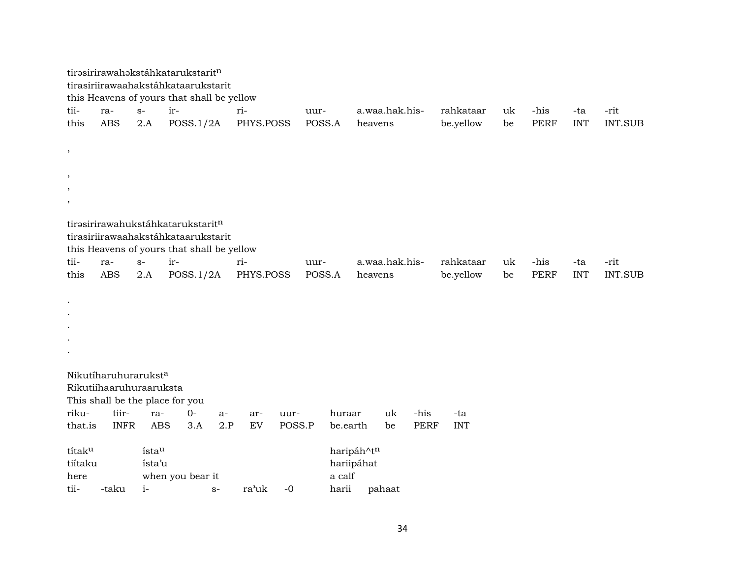|                 |                         |            | tirasirirawahakstáhkatarukstaritn<br>tirasiriirawaahakstáhkataarukstarit<br>this Heavens of yours that shall be yellow |      |           |        |        |            |                |    |             |            |    |                     |            |                        |
|-----------------|-------------------------|------------|------------------------------------------------------------------------------------------------------------------------|------|-----------|--------|--------|------------|----------------|----|-------------|------------|----|---------------------|------------|------------------------|
| tii-            | ra-                     | $S-$       | ir-                                                                                                                    |      | ri-       |        | uur-   |            | a.waa.hak.his- |    |             | rahkataar  | uk | -his                | -ta        | -rit                   |
| this            | ABS                     | 2.A        | POSS.1/2A                                                                                                              |      | PHYS.POSS |        | POSS.A |            | heavens        |    |             | be.yellow  | be | <b>PERF</b>         | <b>INT</b> | <b>INT.SUB</b>         |
|                 |                         |            |                                                                                                                        |      |           |        |        |            |                |    |             |            |    |                     |            |                        |
| $^\mathrm{,}$   |                         |            |                                                                                                                        |      |           |        |        |            |                |    |             |            |    |                     |            |                        |
|                 |                         |            |                                                                                                                        |      |           |        |        |            |                |    |             |            |    |                     |            |                        |
| $^\mathrm{,}$   |                         |            |                                                                                                                        |      |           |        |        |            |                |    |             |            |    |                     |            |                        |
| $\,$<br>$\cdot$ |                         |            |                                                                                                                        |      |           |        |        |            |                |    |             |            |    |                     |            |                        |
|                 |                         |            |                                                                                                                        |      |           |        |        |            |                |    |             |            |    |                     |            |                        |
|                 |                         |            | tirasirirawahukstáhkatarukstaritn                                                                                      |      |           |        |        |            |                |    |             |            |    |                     |            |                        |
|                 |                         |            | tirasiriirawaahakstáhkataarukstarit                                                                                    |      |           |        |        |            |                |    |             |            |    |                     |            |                        |
|                 |                         |            | this Heavens of yours that shall be yellow                                                                             |      |           |        |        |            |                |    |             |            |    |                     |            |                        |
| tii-<br>this    | ra-<br><b>ABS</b>       | $S-$       | ir-                                                                                                                    |      | ri-       |        | uur-   |            | a.waa.hak.his- |    |             | rahkataar  | uk | -his<br><b>PERF</b> | -ta        | -rit<br><b>INT.SUB</b> |
|                 |                         | 2.A        | POSS.1/2A                                                                                                              |      | PHYS.POSS |        | POSS.A |            | heavens        |    |             | be.yellow  | be |                     | <b>INT</b> |                        |
| $\bullet$       |                         |            |                                                                                                                        |      |           |        |        |            |                |    |             |            |    |                     |            |                        |
|                 |                         |            |                                                                                                                        |      |           |        |        |            |                |    |             |            |    |                     |            |                        |
|                 |                         |            |                                                                                                                        |      |           |        |        |            |                |    |             |            |    |                     |            |                        |
|                 |                         |            |                                                                                                                        |      |           |        |        |            |                |    |             |            |    |                     |            |                        |
|                 |                         |            |                                                                                                                        |      |           |        |        |            |                |    |             |            |    |                     |            |                        |
|                 |                         |            |                                                                                                                        |      |           |        |        |            |                |    |             |            |    |                     |            |                        |
|                 | Nikutíharuhuraruksta    |            |                                                                                                                        |      |           |        |        |            |                |    |             |            |    |                     |            |                        |
|                 | Rikutiíhaaruhuraaruksta |            | This shall be the place for you                                                                                        |      |           |        |        |            |                |    |             |            |    |                     |            |                        |
| riku-           | tiir-                   | ra-        | $0-$                                                                                                                   | $a-$ | ar-       | uur-   |        | huraar     |                | uk | -his        | -ta        |    |                     |            |                        |
| that.is         | <b>INFR</b>             | <b>ABS</b> | 3.A                                                                                                                    | 2.P  | EV        | POSS.P |        | be.earth   |                | be | <b>PERF</b> | <b>INT</b> |    |                     |            |                        |
|                 |                         |            |                                                                                                                        |      |           |        |        |            |                |    |             |            |    |                     |            |                        |
| títaku          |                         | ístau      |                                                                                                                        |      |           |        |        | haripáh^tn |                |    |             |            |    |                     |            |                        |
| tiítaku         |                         | ísta'u     |                                                                                                                        |      |           |        |        | hariipáhat |                |    |             |            |    |                     |            |                        |
| here            |                         |            | when you bear it                                                                                                       |      |           |        |        | a calf     |                |    |             |            |    |                     |            |                        |
| tii-            | -taku                   | $i-$       |                                                                                                                        | $S-$ | ra'uk     | $-0$   |        | harii      | pahaat         |    |             |            |    |                     |            |                        |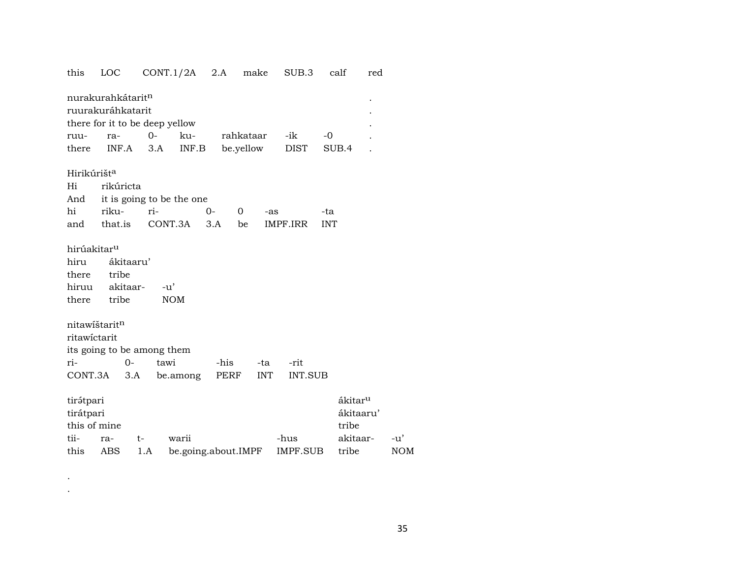## LOC CONT.1/2A 2.A make SUB.3 this calf red nurakurahkátarit<sup>n</sup>  $\overline{a}$ ruurakuráhkatarit  $\ddot{\phantom{a}}$ there for it to be deep yellow  $0$ ruurakurahkataar -ik  $-0$  $\ddot{\phantom{a}}$ INF.A  $3.A$ INF.B be.yellow **DIST** SUB.4 there  $\ddot{\phantom{a}}$ Hirikúrišt<sup>a</sup> Hi rikúricta it is going to be the one And hi rikuri- $0 \overline{0}$ -as -ta CONT.3A  $3.A$ IMPF.IRR **INT** that.is be and hirúakitar<sup>u</sup> hiru ákitaaru' tribe there hiruu akitaar- $-u'$ there tribe **NOM** nitawištarit<sup>n</sup> ritawictarit its going to be among them  $0$ tawi ri--his -ta -rit CONT.3A PERF  $3.A$ be.among **INT INT.SUB** tirátpari ákitar<sup>u</sup> tirátpari ákitaaru' this of mine tribe

| tii- ra- t- warii |                                                 | -hus akitaar- -u' |     |
|-------------------|-------------------------------------------------|-------------------|-----|
|                   | this ABS 1.A be.going.about.IMPF IMPF.SUB tribe |                   | NOM |

 $\bullet$  $\cdot$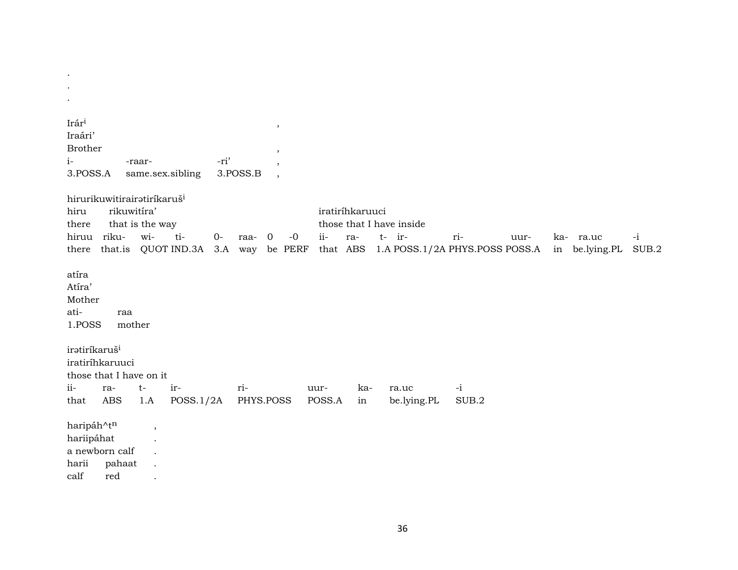| Irári<br>$\,$<br>Iraári'<br><b>Brother</b><br>$\cdot$<br>-ri'<br>$i-$<br>-raar-<br>3.POSS.A<br>3.POSS.B<br>same.sex.sibling<br>$\cdot$                                                                                                                                  |
|-------------------------------------------------------------------------------------------------------------------------------------------------------------------------------------------------------------------------------------------------------------------------|
| hirurikuwitirairatiríkaruš <sup>i</sup><br>rikuwitíra'<br>iratiríhkaruuci<br>hiru<br>those that I have inside<br>that is the way<br>there                                                                                                                               |
| hiruu riku-<br>wi-<br>ti-<br>$ii -$<br>$0-$<br>$t$ - ir-<br>$\overline{0}$<br>$-0$<br>ri-<br>$-i$<br>ra-<br>ka- ra.uc<br>raa-<br>uur-<br>QUOT IND.3A<br>be PERF<br>that ABS<br>1.A POSS.1/2A PHYS.POSS POSS.A<br>in be.lying.PL<br>SUB.2<br>that.is<br>3.A way<br>there |
| atíra<br>Atíra'<br>Mother<br>ati-<br>raa<br>1.POSS<br>mother                                                                                                                                                                                                            |
| iratiríkaruš <sup>i</sup><br>iratiríhkaruuci<br>those that I have on it<br>$ii-$<br>$-i$<br>ri-<br>$t-$<br>ir-<br>ka-<br>ra-<br>uur-<br>ra.uc                                                                                                                           |
| <b>ABS</b><br>PHYS.POSS<br>SUB.2<br>1.A<br>POSS.1/2A<br>POSS.A<br>be.lying.PL<br>that<br>in                                                                                                                                                                             |
| haripáh^tn<br>$\cdot$<br>hariipáhat<br>a newborn calf<br>harii<br>pahaat<br>$\operatorname{calf}$<br>red                                                                                                                                                                |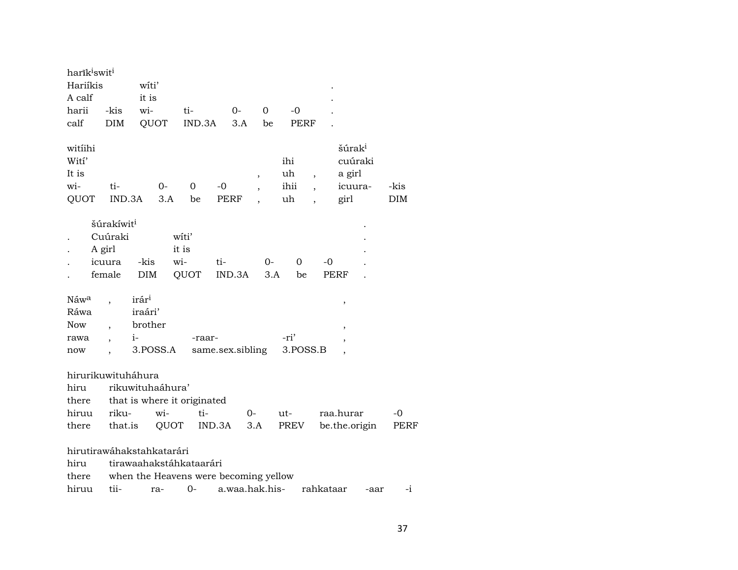| harik <sup>i</sup> swit <sup>i</sup><br>Hariíkis<br>A calf<br>harii<br>calf | -kis<br><b>DIM</b>                                              | witi'<br>it is<br>wi-<br>QUOT                                                                        | ti-<br>IND.3A                 | 0-<br>3.A           | $\mathbf 0$<br>be | $-0$<br><b>PERF</b>     |                          |                                                            |              |
|-----------------------------------------------------------------------------|-----------------------------------------------------------------|------------------------------------------------------------------------------------------------------|-------------------------------|---------------------|-------------------|-------------------------|--------------------------|------------------------------------------------------------|--------------|
| witiihi<br>Wití'<br>It is<br>wi-<br>QUOT                                    | ti-<br>IND.3A                                                   | 0-<br>3.A                                                                                            | 0<br>be                       | $-0$<br><b>PERF</b> | ,                 | ihi<br>uh<br>ihii<br>uh | $\overline{\phantom{a}}$ | šúrak <sup>i</sup><br>cuúraki<br>a girl<br>icuura-<br>girl | -kis<br>DIM  |
|                                                                             | šúrakíwit <sup>i</sup><br>Cuúraki<br>A girl<br>icuura<br>female | -kis<br><b>DIM</b>                                                                                   | witi'<br>it is<br>wi-<br>QUOT | ti-<br>IND.3A       | 0-<br>3.A         | 0<br>be                 | -0<br><b>PERF</b>        |                                                            |              |
| Náwa<br>Ráwa<br><b>Now</b><br>rawa<br>now                                   | $\overline{\phantom{a}}$                                        | irár <sup>i</sup><br>iraári'<br>brother<br>$i-$<br>3.POSS.A                                          | -raar-                        | same.sex.sibling    |                   | -ri'<br>3.POSS.B        |                          | ,<br>$\overline{\phantom{a}}$                              |              |
| hirurikuwituháhura<br>hiru<br>there<br>hiruu<br>there                       | riku-<br>that.is                                                | rikuwituhaáhura'<br>that is where it originated<br>wi-<br>QUOT                                       | ti-                           | IND.3A              | $0-$<br>3.A       | ut-<br>PREV             |                          | raa.hurar<br>be.the.origin                                 | $-0$<br>PERF |
| hiru<br>there<br>hiruu                                                      | tii-                                                            | hirutirawáhakstahkatarári<br>tirawaahakstáhkataarári<br>when the Heavens were becoming yellow<br>ra- | $0-$                          | a.waa.hak.his-      |                   |                         | rahkataar                | -aar                                                       | -i           |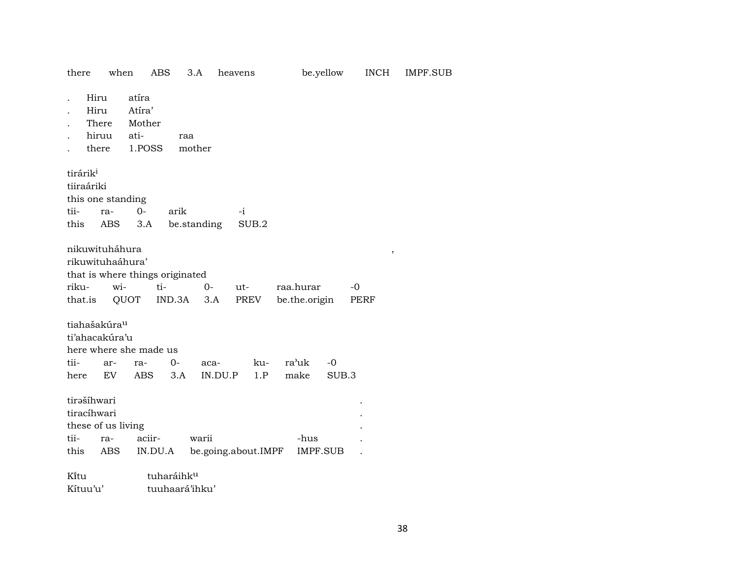| there                                                                                     | when                              | <b>ABS</b>         | 3.A             | heavens             | be.yellow                  | <b>INCH</b>          | <b>IMPF.SUB</b> |
|-------------------------------------------------------------------------------------------|-----------------------------------|--------------------|-----------------|---------------------|----------------------------|----------------------|-----------------|
| Hiru<br>Hiru<br>There<br>hiruu<br>there                                                   | atíra<br>Atíra'<br>Mother<br>ati- | 1.POSS             | raa<br>mother   |                     |                            |                      |                 |
| tirárik <sup>i</sup><br>tiiraáriki<br>this one standing<br>tii-<br>ra-<br>this            | $0-$<br>ABS<br>3.A                | arik               | be.standing     | $-i$<br>SUB.2       |                            |                      |                 |
| nikuwituháhura<br>rikuwituhaáhura'<br>that is where things originated<br>riku-<br>that.is | wi-<br>QUOT                       | ti-<br>IND.3A      | $O -$<br>3.A    | ut-<br>PREV         | raa.hurar<br>be.the.origin | $\,$<br>$-0$<br>PERF |                 |
| tiahašakúra <sup>u</sup><br>ti'ahacakúra'u<br>here where she made us<br>tii-<br>here      | ar-<br>ra-<br>EV                  | $0-$<br>ABS<br>3.A | aca-<br>IN.DU.P | ku-<br>1.P          | ra'uk<br>$-0$<br>make      | SUB.3                |                 |
| tirašíhwari<br>tiracíhwari<br>these of us living<br>tii-<br>ra-<br>this                   | ABS                               | aciir-<br>IN.DU.A  | warii           | be.going.about.IMPF | -hus<br><b>IMPF.SUB</b>    |                      |                 |
| Kitu                                                                                      |                                   | tuharáihku         |                 |                     |                            |                      |                 |

Kítuu'u' tuuhaará'ihku'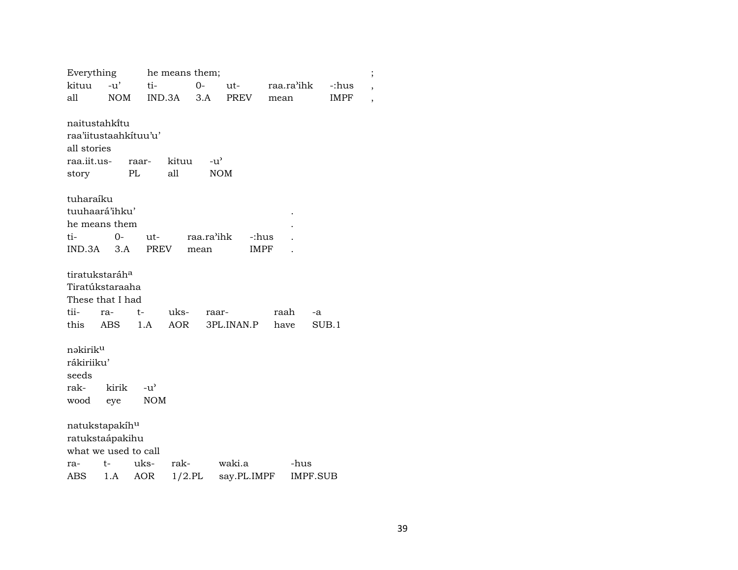| Everything                                                                    |              |                   | he means them; |                             |             |      |                 |             | $\vdots$ |
|-------------------------------------------------------------------------------|--------------|-------------------|----------------|-----------------------------|-------------|------|-----------------|-------------|----------|
| kituu                                                                         | $-u'$        | ti-               |                | $0 -$                       | $ut$ -      |      | raa.ra'ihk      | -:hus       | ,        |
| all                                                                           | NOM          |                   | IND.3A         | 3.A                         | PREV        | mean |                 | <b>IMPF</b> | ,        |
| naitustahkitu<br>raa'iitustaahkituu'u'<br>all stories<br>raa.iit.us-<br>story |              | raar-<br>PL       | kituu<br>all   | $-u^{\prime}$<br><b>NOM</b> |             |      |                 |             |          |
| tuharaíku                                                                     |              |                   |                |                             |             |      |                 |             |          |
| tuuhaará'ihku'                                                                |              |                   |                |                             |             |      |                 |             |          |
| he means them                                                                 |              |                   |                |                             |             |      |                 |             |          |
| ti-                                                                           | $0-$         | ut-               |                | raa.ra'ihk                  | -:hus       |      |                 |             |          |
| $IND.3A$ $3.A$                                                                |              | PREV              |                | mean                        | IMPF        |      |                 |             |          |
|                                                                               |              |                   |                |                             |             |      |                 |             |          |
| tiratukstaráh <sup>a</sup>                                                    |              |                   |                |                             |             |      |                 |             |          |
| Tiratúkstaraaha                                                               |              |                   |                |                             |             |      |                 |             |          |
| These that I had                                                              |              |                   |                |                             |             |      |                 |             |          |
| tii-                                                                          | ra-          | $t-$              | uks-           | raar-                       |             | raah | -a              |             |          |
| this                                                                          | ABS          | 1.A               | AOR            |                             | 3PL.INAN.P  | have |                 | SUB.1       |          |
| nəkirik <sup>u</sup><br>rákiriiku'<br>seeds<br>rak-<br>wood                   | kirik<br>eye | −u'<br><b>NOM</b> |                |                             |             |      |                 |             |          |
| natukstapakíh <sup>u</sup>                                                    |              |                   |                |                             |             |      |                 |             |          |
| ratukstaápakihu                                                               |              |                   |                |                             |             |      |                 |             |          |
| what we used to call                                                          |              |                   |                |                             |             |      |                 |             |          |
| ra-                                                                           | t-           | uks-              | rak-           |                             | waki.a      |      | -hus            |             |          |
| ABS                                                                           | 1.A          | <b>AOR</b>        | $1/2$ .PL      |                             | say.PL.IMPF |      | <b>IMPF.SUB</b> |             |          |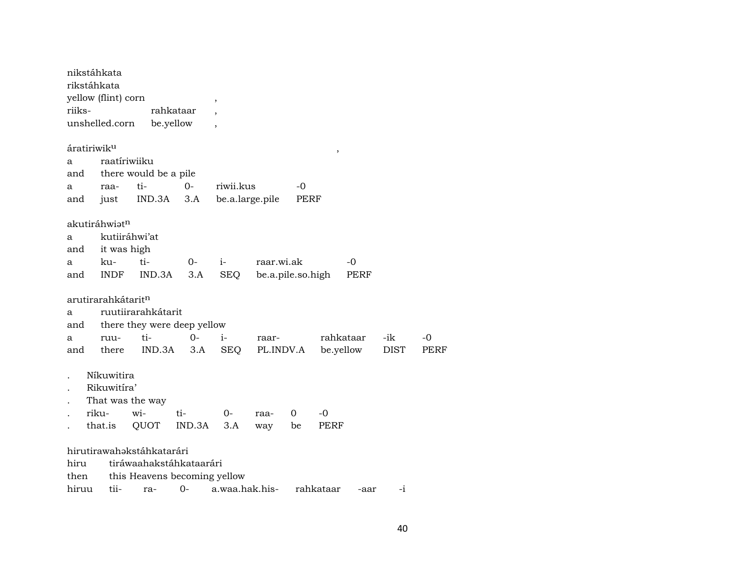| riiks- | nikstáhkata<br>rikstáhkata<br>yellow (flint) corn<br>unshelled.corn |                           | rahkataar<br>be.yellow       | ,<br>$\overline{\phantom{a}}$ |            |           |               |                        |             |      |
|--------|---------------------------------------------------------------------|---------------------------|------------------------------|-------------------------------|------------|-----------|---------------|------------------------|-------------|------|
|        | áratiriwik <sup>u</sup>                                             |                           |                              |                               |            |           | $^\mathrm{,}$ |                        |             |      |
| a      | raatíriwiiku                                                        |                           |                              |                               |            |           |               |                        |             |      |
| and    |                                                                     | there would be a pile     |                              |                               |            |           |               |                        |             |      |
| а      | raa-                                                                | ti-                       | $0-$                         | riwii.kus                     |            | -0        |               |                        |             |      |
| and    | just                                                                | IND.3A                    | 3.A                          | be.a.large.pile               |            | PERF      |               |                        |             |      |
|        |                                                                     |                           |                              |                               |            |           |               |                        |             |      |
|        | akutiráhwiət <sup>n</sup>                                           | kutiiráhwi'at             |                              |                               |            |           |               |                        |             |      |
| а      |                                                                     |                           |                              |                               |            |           |               |                        |             |      |
| and    | it was high                                                         | ti-                       |                              |                               | raar.wi.ak |           |               | -0                     |             |      |
| а      | ku-<br>and INDF                                                     | IND.3A                    | 0-<br>3.A                    | $i-$<br><b>SEQ</b>            |            |           |               |                        |             |      |
|        |                                                                     |                           |                              |                               |            |           |               | be.a.pile.so.high PERF |             |      |
|        | arutirarahkátarit <sup>n</sup>                                      |                           |                              |                               |            |           |               |                        |             |      |
| a      |                                                                     | ruutiirarahkátarit        |                              |                               |            |           |               |                        |             |      |
| and    |                                                                     |                           | there they were deep yellow  |                               |            |           |               |                        |             |      |
| a      | ruu-                                                                | ti-                       | $0-$                         | i-                            | raar-      |           |               | rahkataar              | -ik         | -0   |
| and    | there                                                               | IND.3A                    | 3.A                          | SEQ                           |            | PL.INDV.A |               | be.yellow              | <b>DIST</b> | PERF |
|        | Níkuwitira                                                          |                           |                              |                               |            |           |               |                        |             |      |
|        | Rikuwitíra'                                                         |                           |                              |                               |            |           |               |                        |             |      |
|        | That was the way                                                    |                           |                              |                               |            |           |               |                        |             |      |
|        | riku-                                                               | wi-                       | ti-                          | $0-$                          | raa-       | 0         | $-0$          |                        |             |      |
|        | that.is                                                             | QUOT                      | IND.3A                       | 3.A                           | way        | be        | PERF          |                        |             |      |
|        |                                                                     |                           |                              |                               |            |           |               |                        |             |      |
|        |                                                                     | hirutirawahakstáhkatarári |                              |                               |            |           |               |                        |             |      |
| hiru   |                                                                     |                           | tiráwaahakstáhkataarári      |                               |            |           |               |                        |             |      |
| then   |                                                                     |                           | this Heavens becoming yellow |                               |            |           |               |                        |             |      |
| hiruu  | tii-                                                                | ra-                       | $0-$                         | a.waa.hak.his-                |            |           | rahkataar     | -aar                   | $-i$        |      |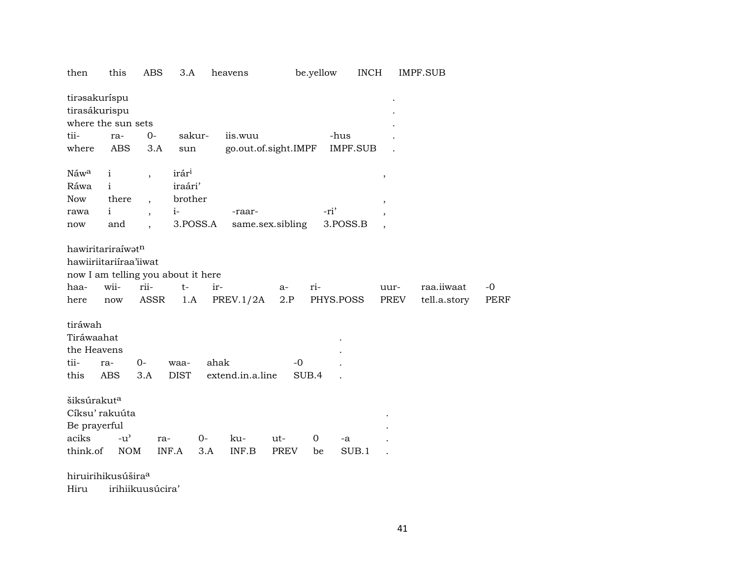| then                                                                                              | this              | <b>ABS</b>               | 3.A                 |       | heavens              |                  | be.yellow | <b>INCH</b> |                          | <b>IMPF.SUB</b>            |                     |
|---------------------------------------------------------------------------------------------------|-------------------|--------------------------|---------------------|-------|----------------------|------------------|-----------|-------------|--------------------------|----------------------------|---------------------|
| tirəsakuríspu<br>tirasákurispu<br>where the sun sets                                              |                   |                          |                     |       |                      |                  |           |             |                          |                            |                     |
| tii-                                                                                              |                   | $0-$                     | sakur-              |       | iis.wuu              |                  |           | -hus        |                          |                            |                     |
|                                                                                                   | ra-               |                          |                     |       |                      |                  |           |             |                          |                            |                     |
| where                                                                                             | <b>ABS</b>        | 3.A                      | sun                 |       | go.out.of.sight.IMPF |                  |           | IMPF.SUB    |                          |                            |                     |
| Náwa                                                                                              | $\mathbf{i}$      | $\overline{\phantom{a}}$ | irár <sup>i</sup>   |       |                      |                  |           |             | $\, ,$                   |                            |                     |
| Ráwa                                                                                              | $\mathbf{i}$      |                          | iraári'             |       |                      |                  |           |             |                          |                            |                     |
| Now                                                                                               | there             |                          | brother             |       |                      |                  |           |             | $\, ,$                   |                            |                     |
| rawa                                                                                              | $\mathbf{i}$      | $\overline{\phantom{a}}$ | $i-$                |       | -raar-               |                  | -ri'      |             | $\, ,$                   |                            |                     |
| now                                                                                               | and               |                          | 3.POSS.A            |       |                      | same.sex.sibling |           | 3.POSS.B    | $\overline{\phantom{a}}$ |                            |                     |
| hawiritariraíwatn<br>hawiiriitariiraa'iiwat<br>now I am telling you about it here<br>haa-<br>here | wii-<br>now       | rii-<br><b>ASSR</b>      | $t-$<br>1.A         | ir-   | PREV.1/2A            | a-<br>2.P        | ri-       | PHYS.POSS   | uur-<br>PREV             | raa.iiwaat<br>tell.a.story | $-0$<br><b>PERF</b> |
| tiráwah<br>Tiráwaahat<br>the Heavens<br>tii-<br>this                                              | ra-<br><b>ABS</b> | $0-$<br>3.A              | waa-<br><b>DIST</b> | ahak  | extend.in.a.line     | $-0$             | SUB.4     |             |                          |                            |                     |
| šiksúrakut <sup>a</sup><br>Cíksu' rakuúta<br>Be prayerful                                         |                   |                          |                     |       |                      |                  |           |             |                          |                            |                     |
| aciks                                                                                             | $-u^{\prime}$     | ra-                      |                     | $0 -$ | ku-                  | ut-              | 0         | -a          |                          |                            |                     |
| think.of                                                                                          | <b>NOM</b>        |                          | INF.A               | 3.A   | INF.B                | PREV             | be        | SUB.1       |                          |                            |                     |
| hiruirihikusúšira <sup>a</sup>                                                                    |                   |                          |                     |       |                      |                  |           |             |                          |                            |                     |

irihiikuusúcira' Hiru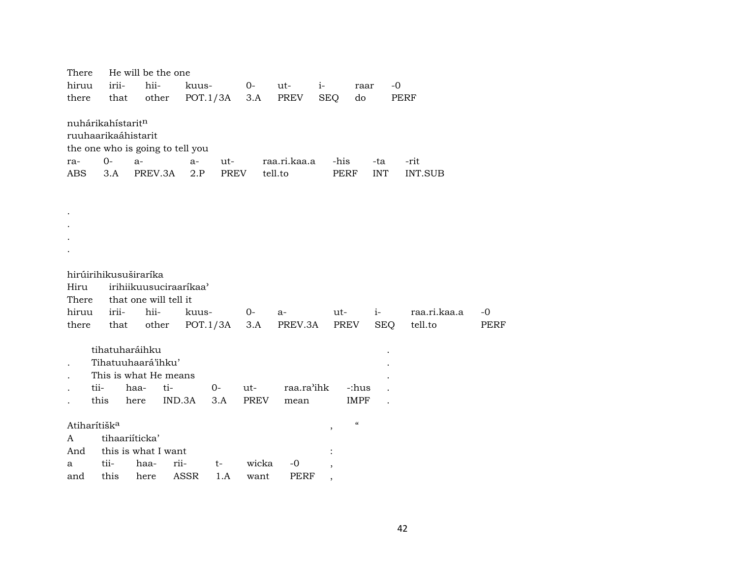| There                            | He will be the one       |                        |             |           |         |              |            |      |                                        |            |              |      |
|----------------------------------|--------------------------|------------------------|-------------|-----------|---------|--------------|------------|------|----------------------------------------|------------|--------------|------|
| hiruu                            | irii-                    | hii-                   | kuus-       |           | $O-$    | ut-          | $i-$       |      | raar                                   | $-0$       |              |      |
| there                            | that                     | other                  | POT.1/3A    |           | 3.A     | PREV         | <b>SEQ</b> |      | do                                     |            | PERF         |      |
|                                  |                          |                        |             |           |         |              |            |      |                                        |            |              |      |
| nuhárikahístaritn                |                          |                        |             |           |         |              |            |      |                                        |            |              |      |
| ruuhaarikaáhistarit              |                          |                        |             |           |         |              |            |      |                                        |            |              |      |
| the one who is going to tell you |                          |                        |             |           |         |              |            |      |                                        |            |              |      |
| ra-                              | $0-$                     | $a-$                   | $a-$        | ut-       |         | raa.ri.kaa.a |            | -his |                                        | -ta        | -rit         |      |
| ABS                              | 3.A                      | PREV.3A                | 2.P         | PREV      | tell.to |              |            | PERF |                                        | <b>INT</b> | INT.SUB      |      |
|                                  |                          |                        |             |           |         |              |            |      |                                        |            |              |      |
|                                  |                          |                        |             |           |         |              |            |      |                                        |            |              |      |
|                                  |                          |                        |             |           |         |              |            |      |                                        |            |              |      |
|                                  |                          |                        |             |           |         |              |            |      |                                        |            |              |      |
|                                  |                          |                        |             |           |         |              |            |      |                                        |            |              |      |
|                                  |                          |                        |             |           |         |              |            |      |                                        |            |              |      |
|                                  |                          |                        |             |           |         |              |            |      |                                        |            |              |      |
|                                  |                          | hirúirihikusuširaríka  |             |           |         |              |            |      |                                        |            |              |      |
| Hiru                             |                          | irihiikuusuciraaríkaa' |             |           |         |              |            |      |                                        |            |              |      |
| There                            |                          | that one will tell it  |             |           |         |              |            |      |                                        |            |              |      |
| hiruu                            | irii-                    | hii-                   | kuus-       | $0-$      |         | $a-$         |            | ut-  | $i-$                                   |            | raa.ri.kaa.a | -0   |
| there                            | that                     | other                  | POT.1/3A    |           | 3.A     | PREV.3A      |            | PREV |                                        | <b>SEQ</b> | tell.to      | PERF |
|                                  |                          |                        |             |           |         |              |            |      |                                        |            |              |      |
|                                  | tihatuharáihku           |                        |             |           |         |              |            |      |                                        |            |              |      |
|                                  |                          | Tihatuuhaará'ihku'     |             |           |         |              |            |      |                                        |            |              |      |
|                                  |                          | This is what He means  |             |           |         |              |            |      |                                        |            |              |      |
|                                  | tii-                     | haa-<br>ti-            |             | 0-<br>ut- |         | raa.ra'ihk   |            |      | -:hus                                  |            |              |      |
|                                  | this                     | here                   | IND.3A      | 3.A       | PREV    | mean         |            |      | <b>IMPF</b>                            |            |              |      |
|                                  |                          |                        |             |           |         |              |            |      |                                        |            |              |      |
|                                  | Atiharítišk <sup>a</sup> |                        |             |           |         |              | ,          |      | $\boldsymbol{\zeta}\boldsymbol{\zeta}$ |            |              |      |
| A                                |                          | tihaariíticka'         |             |           |         |              |            |      |                                        |            |              |      |
| And                              |                          | this is what I want    |             |           |         |              |            |      |                                        |            |              |      |
| a                                | tii-                     | haa-                   | rii-        | $t-$      | wicka   | $-0$         |            |      |                                        |            |              |      |
| and                              | this                     | here                   | <b>ASSR</b> | 1.A       | want    | <b>PERF</b>  |            |      |                                        |            |              |      |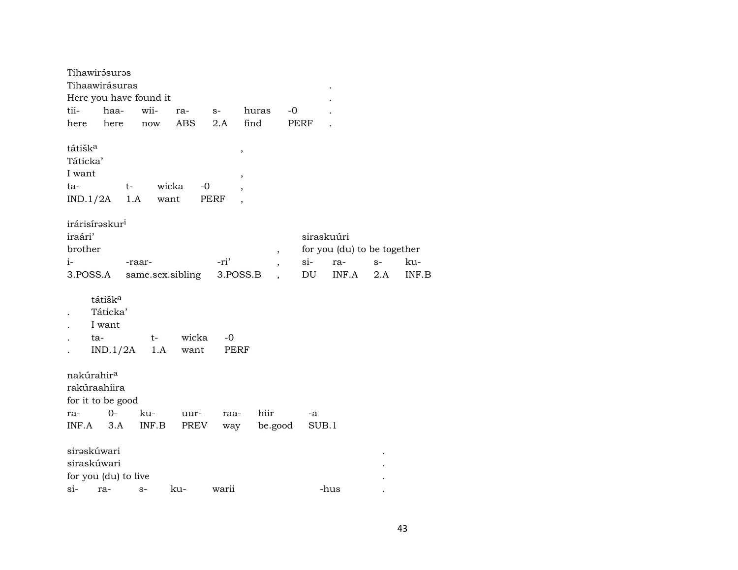|                                                  | Tihawirásuras                                                              |           |               |                  |                                            |                          |        |            |      |       |  |  |  |
|--------------------------------------------------|----------------------------------------------------------------------------|-----------|---------------|------------------|--------------------------------------------|--------------------------|--------|------------|------|-------|--|--|--|
|                                                  | Tihaawirásuras                                                             |           |               |                  |                                            |                          |        |            |      |       |  |  |  |
|                                                  | Here you have found it                                                     |           |               |                  |                                            |                          |        |            |      |       |  |  |  |
| tii-                                             | haa-                                                                       |           | wii-          | ra-              | $S-$                                       | huras                    | -0     |            |      |       |  |  |  |
| here                                             | here                                                                       |           | now           | ABS              | 2.A                                        | find                     | PERF   |            |      |       |  |  |  |
| tátišk <sup>a</sup><br>Táticka'<br>I want<br>ta- | IND.1/2A                                                                   | t-<br>1.A | wicka<br>want | $-0$             | $\, ,$<br>$\overline{\phantom{a}}$<br>PERF |                          |        |            |      |       |  |  |  |
|                                                  | irárisírəskur <sup>i</sup>                                                 |           |               |                  |                                            |                          |        |            |      |       |  |  |  |
| iraári'                                          |                                                                            |           |               |                  |                                            |                          |        | siraskuúri |      |       |  |  |  |
|                                                  | brother<br>for you (du) to be together<br>$\, ,$                           |           |               |                  |                                            |                          |        |            |      |       |  |  |  |
| $i-$                                             |                                                                            | -raar-    |               |                  | -ri'                                       | $\overline{\phantom{a}}$ | $si$ - | ra-        | $S-$ | ku-   |  |  |  |
| 3.POSS.A                                         |                                                                            |           |               | same.sex.sibling | 3.POSS.B                                   |                          | DU     | INF.A      | 2.A  | INF.B |  |  |  |
|                                                  | tátišk <sup>a</sup><br>Táticka'<br>I want<br>ta-<br>IND.1/2A               |           | t-<br>1.A     | wicka<br>want    | -0<br>PERF                                 |                          |        |            |      |       |  |  |  |
| ra-<br>INF.A                                     | nakúrahir <sup>a</sup><br>rakúraahiira<br>for it to be good<br>$0-$<br>3.A |           | ku-<br>INF.B  | uur-<br>PREV     | raa-<br>way                                | hiir<br>be.good          | -a     | SUB.1      |      |       |  |  |  |
|                                                  | sirəskúwari<br>siraskúwari                                                 |           |               |                  |                                            |                          |        |            |      |       |  |  |  |
|                                                  | for you (du) to live                                                       |           |               |                  |                                            |                          |        |            |      |       |  |  |  |
| $si-$                                            | ra-                                                                        | $S-$      |               | ku-              | warii                                      |                          |        | -hus       |      |       |  |  |  |